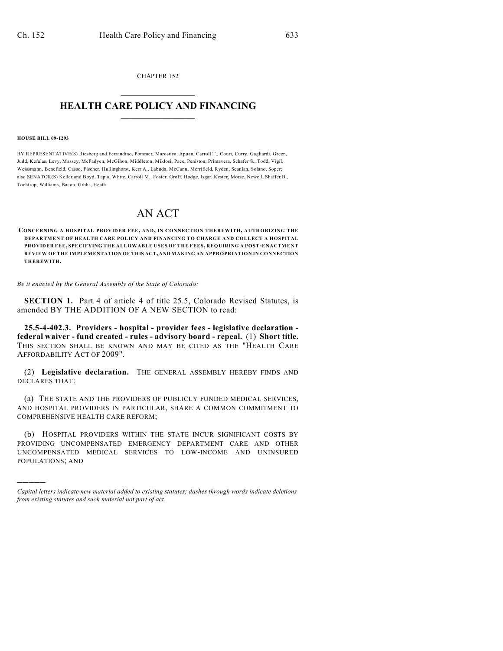CHAPTER 152  $\overline{\phantom{a}}$  . The set of the set of the set of the set of the set of the set of the set of the set of the set of the set of the set of the set of the set of the set of the set of the set of the set of the set of the set o

## **HEALTH CARE POLICY AND FINANCING**  $\_$   $\_$   $\_$   $\_$   $\_$   $\_$   $\_$   $\_$

## **HOUSE BILL 09-1293**

)))))

BY REPRESENTATIVE(S) Riesberg and Ferrandino, Pommer, Marostica, Apuan, Carroll T., Court, Curry, Gagliardi, Green, Judd, Kefalas, Levy, Massey, McFadyen, McGihon, Middleton, Miklosi, Pace, Peniston, Primavera, Schafer S., Todd, Vigil, Weissmann, Benefield, Casso, Fischer, Hullinghorst, Kerr A., Labuda, McCann, Merrifield, Ryden, Scanlan, Solano, Soper; also SENATOR(S) Keller and Boyd, Tapia, White, Carroll M., Foster, Groff, Hodge, Isgar, Kester, Morse, Newell, Shaffer B., Tochtrop, Williams, Bacon, Gibbs, Heath.

## AN ACT

**CONCERNING A HOSPITAL PROVIDER FEE, AND, IN CONNECTION THEREWITH, AUTHORIZING THE DEPARTMENT OF HEALTH CARE POLICY AND FINANCING TO CHARGE AND COLLECT A HOSPITAL PROVIDER FEE, SPECIFYING THE ALLOWABLE USES OF THE FEES, REQUIRING A POST-ENACTMENT REVIEW OF THE IMPLEMENTATION OF THIS ACT, AND MAKING AN APPROPRIATION IN CONNECTION THEREWITH.**

*Be it enacted by the General Assembly of the State of Colorado:*

**SECTION 1.** Part 4 of article 4 of title 25.5, Colorado Revised Statutes, is amended BY THE ADDITION OF A NEW SECTION to read:

**25.5-4-402.3. Providers - hospital - provider fees - legislative declaration federal waiver - fund created - rules - advisory board - repeal.** (1) **Short title.** THIS SECTION SHALL BE KNOWN AND MAY BE CITED AS THE "HEALTH CARE AFFORDABILITY ACT OF 2009".

(2) **Legislative declaration.** THE GENERAL ASSEMBLY HEREBY FINDS AND DECLARES THAT:

(a) THE STATE AND THE PROVIDERS OF PUBLICLY FUNDED MEDICAL SERVICES, AND HOSPITAL PROVIDERS IN PARTICULAR, SHARE A COMMON COMMITMENT TO COMPREHENSIVE HEALTH CARE REFORM;

(b) HOSPITAL PROVIDERS WITHIN THE STATE INCUR SIGNIFICANT COSTS BY PROVIDING UNCOMPENSATED EMERGENCY DEPARTMENT CARE AND OTHER UNCOMPENSATED MEDICAL SERVICES TO LOW-INCOME AND UNINSURED POPULATIONS; AND

*Capital letters indicate new material added to existing statutes; dashes through words indicate deletions from existing statutes and such material not part of act.*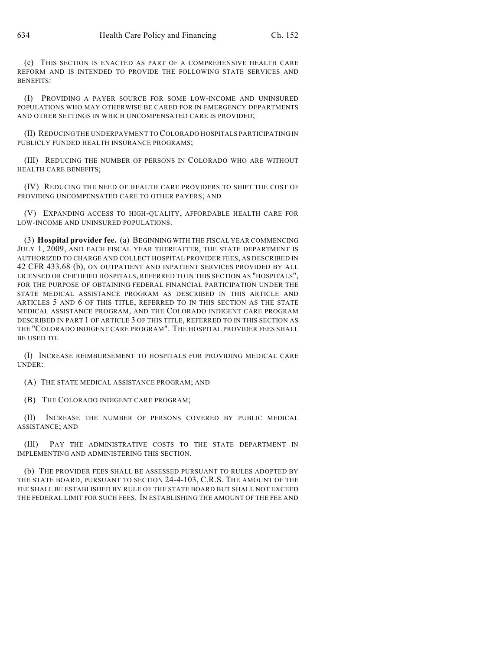(c) THIS SECTION IS ENACTED AS PART OF A COMPREHENSIVE HEALTH CARE REFORM AND IS INTENDED TO PROVIDE THE FOLLOWING STATE SERVICES AND BENEFITS:

(I) PROVIDING A PAYER SOURCE FOR SOME LOW-INCOME AND UNINSURED POPULATIONS WHO MAY OTHERWISE BE CARED FOR IN EMERGENCY DEPARTMENTS AND OTHER SETTINGS IN WHICH UNCOMPENSATED CARE IS PROVIDED;

(II) REDUCING THE UNDERPAYMENT TO COLORADO HOSPITALS PARTICIPATING IN PUBLICLY FUNDED HEALTH INSURANCE PROGRAMS;

(III) REDUCING THE NUMBER OF PERSONS IN COLORADO WHO ARE WITHOUT HEALTH CARE BENEFITS;

(IV) REDUCING THE NEED OF HEALTH CARE PROVIDERS TO SHIFT THE COST OF PROVIDING UNCOMPENSATED CARE TO OTHER PAYERS; AND

(V) EXPANDING ACCESS TO HIGH-QUALITY, AFFORDABLE HEALTH CARE FOR LOW-INCOME AND UNINSURED POPULATIONS.

(3) **Hospital provider fee.** (a) BEGINNING WITH THE FISCAL YEAR COMMENCING JULY 1, 2009, AND EACH FISCAL YEAR THEREAFTER, THE STATE DEPARTMENT IS AUTHORIZED TO CHARGE AND COLLECT HOSPITAL PROVIDER FEES, AS DESCRIBED IN 42 CFR 433.68 (b), ON OUTPATIENT AND INPATIENT SERVICES PROVIDED BY ALL LICENSED OR CERTIFIED HOSPITALS, REFERRED TO IN THIS SECTION AS "HOSPITALS", FOR THE PURPOSE OF OBTAINING FEDERAL FINANCIAL PARTICIPATION UNDER THE STATE MEDICAL ASSISTANCE PROGRAM AS DESCRIBED IN THIS ARTICLE AND ARTICLES 5 AND 6 OF THIS TITLE, REFERRED TO IN THIS SECTION AS THE STATE MEDICAL ASSISTANCE PROGRAM, AND THE COLORADO INDIGENT CARE PROGRAM DESCRIBED IN PART 1 OF ARTICLE 3 OF THIS TITLE, REFERRED TO IN THIS SECTION AS THE "COLORADO INDIGENT CARE PROGRAM". THE HOSPITAL PROVIDER FEES SHALL BE USED TO:

(I) INCREASE REIMBURSEMENT TO HOSPITALS FOR PROVIDING MEDICAL CARE UNDER:

(A) THE STATE MEDICAL ASSISTANCE PROGRAM; AND

(B) THE COLORADO INDIGENT CARE PROGRAM;

(II) INCREASE THE NUMBER OF PERSONS COVERED BY PUBLIC MEDICAL ASSISTANCE; AND

(III) PAY THE ADMINISTRATIVE COSTS TO THE STATE DEPARTMENT IN IMPLEMENTING AND ADMINISTERING THIS SECTION.

(b) THE PROVIDER FEES SHALL BE ASSESSED PURSUANT TO RULES ADOPTED BY THE STATE BOARD, PURSUANT TO SECTION 24-4-103, C.R.S. THE AMOUNT OF THE FEE SHALL BE ESTABLISHED BY RULE OF THE STATE BOARD BUT SHALL NOT EXCEED THE FEDERAL LIMIT FOR SUCH FEES. IN ESTABLISHING THE AMOUNT OF THE FEE AND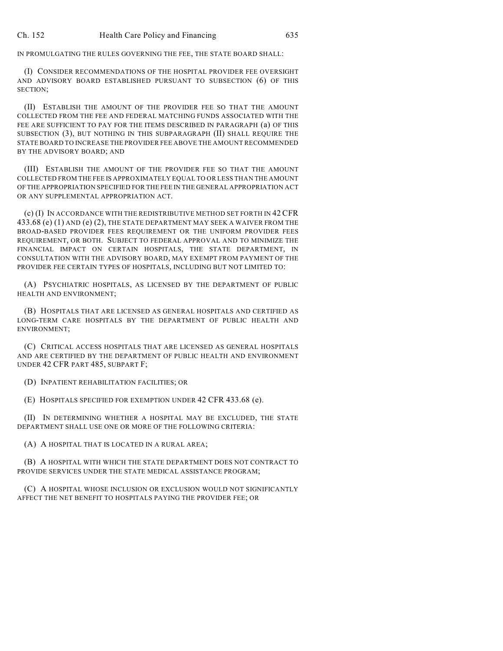IN PROMULGATING THE RULES GOVERNING THE FEE, THE STATE BOARD SHALL:

(I) CONSIDER RECOMMENDATIONS OF THE HOSPITAL PROVIDER FEE OVERSIGHT AND ADVISORY BOARD ESTABLISHED PURSUANT TO SUBSECTION (6) OF THIS SECTION;

(II) ESTABLISH THE AMOUNT OF THE PROVIDER FEE SO THAT THE AMOUNT COLLECTED FROM THE FEE AND FEDERAL MATCHING FUNDS ASSOCIATED WITH THE FEE ARE SUFFICIENT TO PAY FOR THE ITEMS DESCRIBED IN PARAGRAPH (a) OF THIS SUBSECTION (3), BUT NOTHING IN THIS SUBPARAGRAPH (II) SHALL REQUIRE THE STATE BOARD TO INCREASE THE PROVIDER FEE ABOVE THE AMOUNT RECOMMENDED BY THE ADVISORY BOARD; AND

(III) ESTABLISH THE AMOUNT OF THE PROVIDER FEE SO THAT THE AMOUNT COLLECTED FROM THE FEE IS APPROXIMATELY EQUAL TO OR LESS THAN THE AMOUNT OF THE APPROPRIATION SPECIFIED FOR THE FEE IN THE GENERAL APPROPRIATION ACT OR ANY SUPPLEMENTAL APPROPRIATION ACT.

(c) (I) IN ACCORDANCE WITH THE REDISTRIBUTIVE METHOD SET FORTH IN 42 CFR 433.68 (e) (1) AND (e) (2), THE STATE DEPARTMENT MAY SEEK A WAIVER FROM THE BROAD-BASED PROVIDER FEES REQUIREMENT OR THE UNIFORM PROVIDER FEES REQUIREMENT, OR BOTH. SUBJECT TO FEDERAL APPROVAL AND TO MINIMIZE THE FINANCIAL IMPACT ON CERTAIN HOSPITALS, THE STATE DEPARTMENT, IN CONSULTATION WITH THE ADVISORY BOARD, MAY EXEMPT FROM PAYMENT OF THE PROVIDER FEE CERTAIN TYPES OF HOSPITALS, INCLUDING BUT NOT LIMITED TO:

(A) PSYCHIATRIC HOSPITALS, AS LICENSED BY THE DEPARTMENT OF PUBLIC HEALTH AND ENVIRONMENT;

(B) HOSPITALS THAT ARE LICENSED AS GENERAL HOSPITALS AND CERTIFIED AS LONG-TERM CARE HOSPITALS BY THE DEPARTMENT OF PUBLIC HEALTH AND ENVIRONMENT;

(C) CRITICAL ACCESS HOSPITALS THAT ARE LICENSED AS GENERAL HOSPITALS AND ARE CERTIFIED BY THE DEPARTMENT OF PUBLIC HEALTH AND ENVIRONMENT UNDER 42 CFR PART 485, SUBPART F;

(D) INPATIENT REHABILITATION FACILITIES; OR

(E) HOSPITALS SPECIFIED FOR EXEMPTION UNDER 42 CFR 433.68 (e).

(II) IN DETERMINING WHETHER A HOSPITAL MAY BE EXCLUDED, THE STATE DEPARTMENT SHALL USE ONE OR MORE OF THE FOLLOWING CRITERIA:

(A) A HOSPITAL THAT IS LOCATED IN A RURAL AREA;

(B) A HOSPITAL WITH WHICH THE STATE DEPARTMENT DOES NOT CONTRACT TO PROVIDE SERVICES UNDER THE STATE MEDICAL ASSISTANCE PROGRAM;

(C) A HOSPITAL WHOSE INCLUSION OR EXCLUSION WOULD NOT SIGNIFICANTLY AFFECT THE NET BENEFIT TO HOSPITALS PAYING THE PROVIDER FEE; OR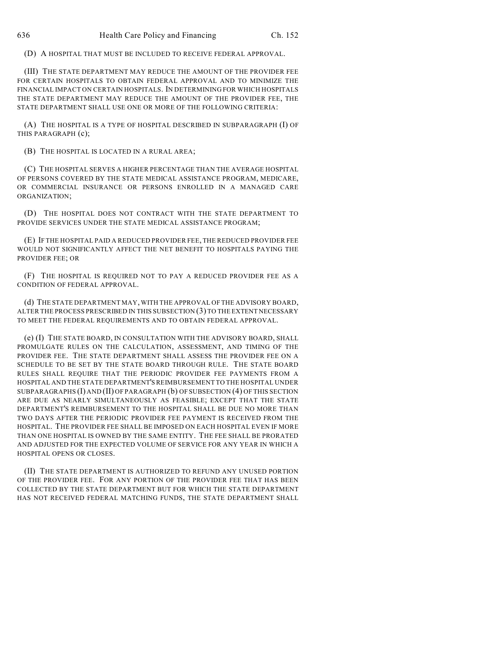(D) A HOSPITAL THAT MUST BE INCLUDED TO RECEIVE FEDERAL APPROVAL.

(III) THE STATE DEPARTMENT MAY REDUCE THE AMOUNT OF THE PROVIDER FEE FOR CERTAIN HOSPITALS TO OBTAIN FEDERAL APPROVAL AND TO MINIMIZE THE FINANCIAL IMPACT ON CERTAIN HOSPITALS. IN DETERMINING FOR WHICH HOSPITALS THE STATE DEPARTMENT MAY REDUCE THE AMOUNT OF THE PROVIDER FEE, THE STATE DEPARTMENT SHALL USE ONE OR MORE OF THE FOLLOWING CRITERIA:

(A) THE HOSPITAL IS A TYPE OF HOSPITAL DESCRIBED IN SUBPARAGRAPH (I) OF THIS PARAGRAPH (c);

(B) THE HOSPITAL IS LOCATED IN A RURAL AREA;

(C) THE HOSPITAL SERVES A HIGHER PERCENTAGE THAN THE AVERAGE HOSPITAL OF PERSONS COVERED BY THE STATE MEDICAL ASSISTANCE PROGRAM, MEDICARE, OR COMMERCIAL INSURANCE OR PERSONS ENROLLED IN A MANAGED CARE ORGANIZATION;

(D) THE HOSPITAL DOES NOT CONTRACT WITH THE STATE DEPARTMENT TO PROVIDE SERVICES UNDER THE STATE MEDICAL ASSISTANCE PROGRAM;

(E) IF THE HOSPITAL PAID A REDUCED PROVIDER FEE, THE REDUCED PROVIDER FEE WOULD NOT SIGNIFICANTLY AFFECT THE NET BENEFIT TO HOSPITALS PAYING THE PROVIDER FEE; OR

(F) THE HOSPITAL IS REQUIRED NOT TO PAY A REDUCED PROVIDER FEE AS A CONDITION OF FEDERAL APPROVAL.

(d) THE STATE DEPARTMENT MAY, WITH THE APPROVAL OF THE ADVISORY BOARD, ALTER THE PROCESS PRESCRIBED IN THIS SUBSECTION (3) TO THE EXTENT NECESSARY TO MEET THE FEDERAL REQUIREMENTS AND TO OBTAIN FEDERAL APPROVAL.

(e) (I) THE STATE BOARD, IN CONSULTATION WITH THE ADVISORY BOARD, SHALL PROMULGATE RULES ON THE CALCULATION, ASSESSMENT, AND TIMING OF THE PROVIDER FEE. THE STATE DEPARTMENT SHALL ASSESS THE PROVIDER FEE ON A SCHEDULE TO BE SET BY THE STATE BOARD THROUGH RULE. THE STATE BOARD RULES SHALL REQUIRE THAT THE PERIODIC PROVIDER FEE PAYMENTS FROM A HOSPITAL AND THE STATE DEPARTMENT'S REIMBURSEMENT TO THE HOSPITAL UNDER SUBPARAGRAPHS (I) AND (II) OF PARAGRAPH (b) OF SUBSECTION (4) OF THIS SECTION ARE DUE AS NEARLY SIMULTANEOUSLY AS FEASIBLE; EXCEPT THAT THE STATE DEPARTMENT'S REIMBURSEMENT TO THE HOSPITAL SHALL BE DUE NO MORE THAN TWO DAYS AFTER THE PERIODIC PROVIDER FEE PAYMENT IS RECEIVED FROM THE HOSPITAL. THE PROVIDER FEE SHALL BE IMPOSED ON EACH HOSPITAL EVEN IF MORE THAN ONE HOSPITAL IS OWNED BY THE SAME ENTITY. THE FEE SHALL BE PRORATED AND ADJUSTED FOR THE EXPECTED VOLUME OF SERVICE FOR ANY YEAR IN WHICH A HOSPITAL OPENS OR CLOSES.

(II) THE STATE DEPARTMENT IS AUTHORIZED TO REFUND ANY UNUSED PORTION OF THE PROVIDER FEE. FOR ANY PORTION OF THE PROVIDER FEE THAT HAS BEEN COLLECTED BY THE STATE DEPARTMENT BUT FOR WHICH THE STATE DEPARTMENT HAS NOT RECEIVED FEDERAL MATCHING FUNDS, THE STATE DEPARTMENT SHALL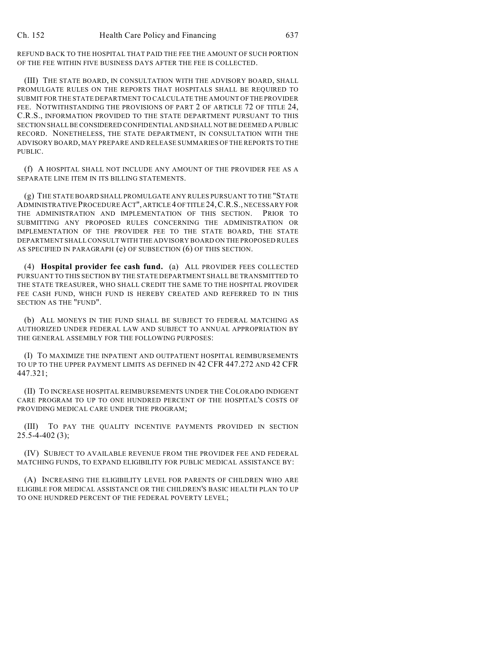REFUND BACK TO THE HOSPITAL THAT PAID THE FEE THE AMOUNT OF SUCH PORTION OF THE FEE WITHIN FIVE BUSINESS DAYS AFTER THE FEE IS COLLECTED.

(III) THE STATE BOARD, IN CONSULTATION WITH THE ADVISORY BOARD, SHALL PROMULGATE RULES ON THE REPORTS THAT HOSPITALS SHALL BE REQUIRED TO SUBMIT FOR THE STATE DEPARTMENT TO CALCULATE THE AMOUNT OF THE PROVIDER FEE. NOTWITHSTANDING THE PROVISIONS OF PART 2 OF ARTICLE 72 OF TITLE 24, C.R.S., INFORMATION PROVIDED TO THE STATE DEPARTMENT PURSUANT TO THIS SECTION SHALL BE CONSIDERED CONFIDENTIAL AND SHALL NOT BE DEEMED A PUBLIC RECORD. NONETHELESS, THE STATE DEPARTMENT, IN CONSULTATION WITH THE ADVISORY BOARD, MAY PREPARE AND RELEASE SUMMARIES OF THE REPORTS TO THE PUBLIC.

(f) A HOSPITAL SHALL NOT INCLUDE ANY AMOUNT OF THE PROVIDER FEE AS A SEPARATE LINE ITEM IN ITS BILLING STATEMENTS.

(g) THE STATE BOARD SHALL PROMULGATE ANY RULES PURSUANT TO THE "STATE ADMINISTRATIVE PROCEDURE ACT", ARTICLE 4 OF TITLE 24,C.R.S., NECESSARY FOR THE ADMINISTRATION AND IMPLEMENTATION OF THIS SECTION. PRIOR TO SUBMITTING ANY PROPOSED RULES CONCERNING THE ADMINISTRATION OR IMPLEMENTATION OF THE PROVIDER FEE TO THE STATE BOARD, THE STATE DEPARTMENT SHALL CONSULT WITH THE ADVISORY BOARD ON THE PROPOSED RULES AS SPECIFIED IN PARAGRAPH (e) OF SUBSECTION (6) OF THIS SECTION.

(4) **Hospital provider fee cash fund.** (a) ALL PROVIDER FEES COLLECTED PURSUANT TO THIS SECTION BY THE STATE DEPARTMENT SHALL BE TRANSMITTED TO THE STATE TREASURER, WHO SHALL CREDIT THE SAME TO THE HOSPITAL PROVIDER FEE CASH FUND, WHICH FUND IS HEREBY CREATED AND REFERRED TO IN THIS SECTION AS THE "FUND".

(b) ALL MONEYS IN THE FUND SHALL BE SUBJECT TO FEDERAL MATCHING AS AUTHORIZED UNDER FEDERAL LAW AND SUBJECT TO ANNUAL APPROPRIATION BY THE GENERAL ASSEMBLY FOR THE FOLLOWING PURPOSES:

(I) TO MAXIMIZE THE INPATIENT AND OUTPATIENT HOSPITAL REIMBURSEMENTS TO UP TO THE UPPER PAYMENT LIMITS AS DEFINED IN 42 CFR 447.272 AND 42 CFR 447.321;

(II) TO INCREASE HOSPITAL REIMBURSEMENTS UNDER THE COLORADO INDIGENT CARE PROGRAM TO UP TO ONE HUNDRED PERCENT OF THE HOSPITAL'S COSTS OF PROVIDING MEDICAL CARE UNDER THE PROGRAM;

(III) TO PAY THE QUALITY INCENTIVE PAYMENTS PROVIDED IN SECTION 25.5-4-402 (3);

(IV) SUBJECT TO AVAILABLE REVENUE FROM THE PROVIDER FEE AND FEDERAL MATCHING FUNDS, TO EXPAND ELIGIBILITY FOR PUBLIC MEDICAL ASSISTANCE BY:

(A) INCREASING THE ELIGIBILITY LEVEL FOR PARENTS OF CHILDREN WHO ARE ELIGIBLE FOR MEDICAL ASSISTANCE OR THE CHILDREN'S BASIC HEALTH PLAN TO UP TO ONE HUNDRED PERCENT OF THE FEDERAL POVERTY LEVEL;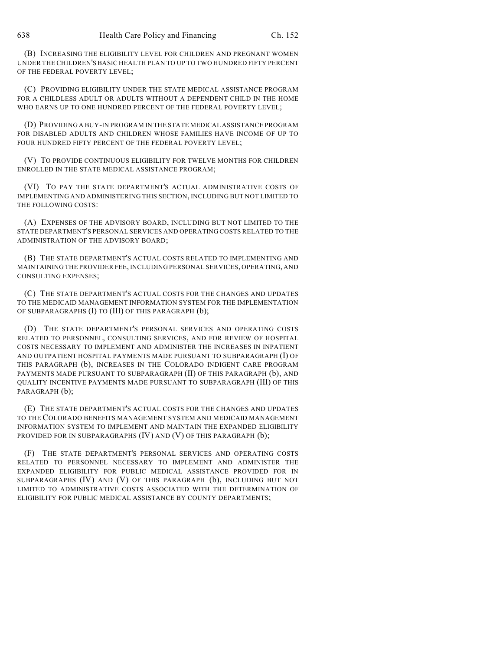(B) INCREASING THE ELIGIBILITY LEVEL FOR CHILDREN AND PREGNANT WOMEN UNDER THE CHILDREN'S BASIC HEALTH PLAN TO UP TO TWO HUNDRED FIFTY PERCENT OF THE FEDERAL POVERTY LEVEL;

(C) PROVIDING ELIGIBILITY UNDER THE STATE MEDICAL ASSISTANCE PROGRAM FOR A CHILDLESS ADULT OR ADULTS WITHOUT A DEPENDENT CHILD IN THE HOME WHO EARNS UP TO ONE HUNDRED PERCENT OF THE FEDERAL POVERTY LEVEL;

(D) PROVIDING A BUY-IN PROGRAM IN THE STATE MEDICAL ASSISTANCE PROGRAM FOR DISABLED ADULTS AND CHILDREN WHOSE FAMILIES HAVE INCOME OF UP TO FOUR HUNDRED FIFTY PERCENT OF THE FEDERAL POVERTY LEVEL;

(V) TO PROVIDE CONTINUOUS ELIGIBILITY FOR TWELVE MONTHS FOR CHILDREN ENROLLED IN THE STATE MEDICAL ASSISTANCE PROGRAM;

(VI) TO PAY THE STATE DEPARTMENT'S ACTUAL ADMINISTRATIVE COSTS OF IMPLEMENTING AND ADMINISTERING THIS SECTION, INCLUDING BUT NOT LIMITED TO THE FOLLOWING COSTS:

(A) EXPENSES OF THE ADVISORY BOARD, INCLUDING BUT NOT LIMITED TO THE STATE DEPARTMENT'S PERSONAL SERVICES AND OPERATING COSTS RELATED TO THE ADMINISTRATION OF THE ADVISORY BOARD;

(B) THE STATE DEPARTMENT'S ACTUAL COSTS RELATED TO IMPLEMENTING AND MAINTAINING THE PROVIDER FEE, INCLUDING PERSONAL SERVICES, OPERATING, AND CONSULTING EXPENSES;

(C) THE STATE DEPARTMENT'S ACTUAL COSTS FOR THE CHANGES AND UPDATES TO THE MEDICAID MANAGEMENT INFORMATION SYSTEM FOR THE IMPLEMENTATION OF SUBPARAGRAPHS (I) TO (III) OF THIS PARAGRAPH (b);

(D) THE STATE DEPARTMENT'S PERSONAL SERVICES AND OPERATING COSTS RELATED TO PERSONNEL, CONSULTING SERVICES, AND FOR REVIEW OF HOSPITAL COSTS NECESSARY TO IMPLEMENT AND ADMINISTER THE INCREASES IN INPATIENT AND OUTPATIENT HOSPITAL PAYMENTS MADE PURSUANT TO SUBPARAGRAPH (I) OF THIS PARAGRAPH (b), INCREASES IN THE COLORADO INDIGENT CARE PROGRAM PAYMENTS MADE PURSUANT TO SUBPARAGRAPH (II) OF THIS PARAGRAPH (b), AND QUALITY INCENTIVE PAYMENTS MADE PURSUANT TO SUBPARAGRAPH (III) OF THIS PARAGRAPH (b);

(E) THE STATE DEPARTMENT'S ACTUAL COSTS FOR THE CHANGES AND UPDATES TO THE COLORADO BENEFITS MANAGEMENT SYSTEM AND MEDICAID MANAGEMENT INFORMATION SYSTEM TO IMPLEMENT AND MAINTAIN THE EXPANDED ELIGIBILITY PROVIDED FOR IN SUBPARAGRAPHS (IV) AND (V) OF THIS PARAGRAPH (b);

(F) THE STATE DEPARTMENT'S PERSONAL SERVICES AND OPERATING COSTS RELATED TO PERSONNEL NECESSARY TO IMPLEMENT AND ADMINISTER THE EXPANDED ELIGIBILITY FOR PUBLIC MEDICAL ASSISTANCE PROVIDED FOR IN SUBPARAGRAPHS (IV) AND (V) OF THIS PARAGRAPH (b), INCLUDING BUT NOT LIMITED TO ADMINISTRATIVE COSTS ASSOCIATED WITH THE DETERMINATION OF ELIGIBILITY FOR PUBLIC MEDICAL ASSISTANCE BY COUNTY DEPARTMENTS;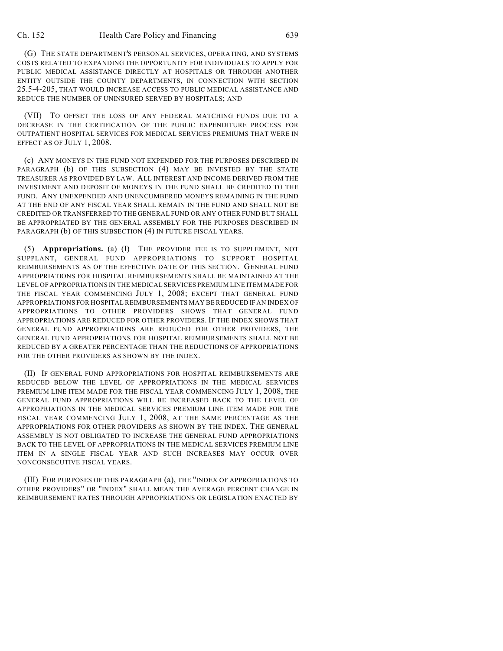(G) THE STATE DEPARTMENT'S PERSONAL SERVICES, OPERATING, AND SYSTEMS COSTS RELATED TO EXPANDING THE OPPORTUNITY FOR INDIVIDUALS TO APPLY FOR PUBLIC MEDICAL ASSISTANCE DIRECTLY AT HOSPITALS OR THROUGH ANOTHER ENTITY OUTSIDE THE COUNTY DEPARTMENTS, IN CONNECTION WITH SECTION 25.5-4-205, THAT WOULD INCREASE ACCESS TO PUBLIC MEDICAL ASSISTANCE AND REDUCE THE NUMBER OF UNINSURED SERVED BY HOSPITALS; AND

(VII) TO OFFSET THE LOSS OF ANY FEDERAL MATCHING FUNDS DUE TO A DECREASE IN THE CERTIFICATION OF THE PUBLIC EXPENDITURE PROCESS FOR OUTPATIENT HOSPITAL SERVICES FOR MEDICAL SERVICES PREMIUMS THAT WERE IN EFFECT AS OF JULY 1, 2008.

(c) ANY MONEYS IN THE FUND NOT EXPENDED FOR THE PURPOSES DESCRIBED IN PARAGRAPH (b) OF THIS SUBSECTION (4) MAY BE INVESTED BY THE STATE TREASURER AS PROVIDED BY LAW. ALL INTEREST AND INCOME DERIVED FROM THE INVESTMENT AND DEPOSIT OF MONEYS IN THE FUND SHALL BE CREDITED TO THE FUND. ANY UNEXPENDED AND UNENCUMBERED MONEYS REMAINING IN THE FUND AT THE END OF ANY FISCAL YEAR SHALL REMAIN IN THE FUND AND SHALL NOT BE CREDITED OR TRANSFERRED TO THE GENERAL FUND OR ANY OTHER FUND BUT SHALL BE APPROPRIATED BY THE GENERAL ASSEMBLY FOR THE PURPOSES DESCRIBED IN PARAGRAPH (b) OF THIS SUBSECTION (4) IN FUTURE FISCAL YEARS.

(5) **Appropriations.** (a) (I) THE PROVIDER FEE IS TO SUPPLEMENT, NOT SUPPLANT, GENERAL FUND APPROPRIATIONS TO SUPPORT HOSPITAL REIMBURSEMENTS AS OF THE EFFECTIVE DATE OF THIS SECTION. GENERAL FUND APPROPRIATIONS FOR HOSPITAL REIMBURSEMENTS SHALL BE MAINTAINED AT THE LEVEL OF APPROPRIATIONS IN THE MEDICAL SERVICES PREMIUM LINE ITEM MADE FOR THE FISCAL YEAR COMMENCING JULY 1, 2008; EXCEPT THAT GENERAL FUND APPROPRIATIONS FOR HOSPITAL REIMBURSEMENTS MAY BE REDUCED IF AN INDEX OF APPROPRIATIONS TO OTHER PROVIDERS SHOWS THAT GENERAL FUND APPROPRIATIONS ARE REDUCED FOR OTHER PROVIDERS. IF THE INDEX SHOWS THAT GENERAL FUND APPROPRIATIONS ARE REDUCED FOR OTHER PROVIDERS, THE GENERAL FUND APPROPRIATIONS FOR HOSPITAL REIMBURSEMENTS SHALL NOT BE REDUCED BY A GREATER PERCENTAGE THAN THE REDUCTIONS OF APPROPRIATIONS FOR THE OTHER PROVIDERS AS SHOWN BY THE INDEX.

(II) IF GENERAL FUND APPROPRIATIONS FOR HOSPITAL REIMBURSEMENTS ARE REDUCED BELOW THE LEVEL OF APPROPRIATIONS IN THE MEDICAL SERVICES PREMIUM LINE ITEM MADE FOR THE FISCAL YEAR COMMENCING JULY 1, 2008, THE GENERAL FUND APPROPRIATIONS WILL BE INCREASED BACK TO THE LEVEL OF APPROPRIATIONS IN THE MEDICAL SERVICES PREMIUM LINE ITEM MADE FOR THE FISCAL YEAR COMMENCING JULY 1, 2008, AT THE SAME PERCENTAGE AS THE APPROPRIATIONS FOR OTHER PROVIDERS AS SHOWN BY THE INDEX. THE GENERAL ASSEMBLY IS NOT OBLIGATED TO INCREASE THE GENERAL FUND APPROPRIATIONS BACK TO THE LEVEL OF APPROPRIATIONS IN THE MEDICAL SERVICES PREMIUM LINE ITEM IN A SINGLE FISCAL YEAR AND SUCH INCREASES MAY OCCUR OVER NONCONSECUTIVE FISCAL YEARS.

(III) FOR PURPOSES OF THIS PARAGRAPH (a), THE "INDEX OF APPROPRIATIONS TO OTHER PROVIDERS" OR "INDEX" SHALL MEAN THE AVERAGE PERCENT CHANGE IN REIMBURSEMENT RATES THROUGH APPROPRIATIONS OR LEGISLATION ENACTED BY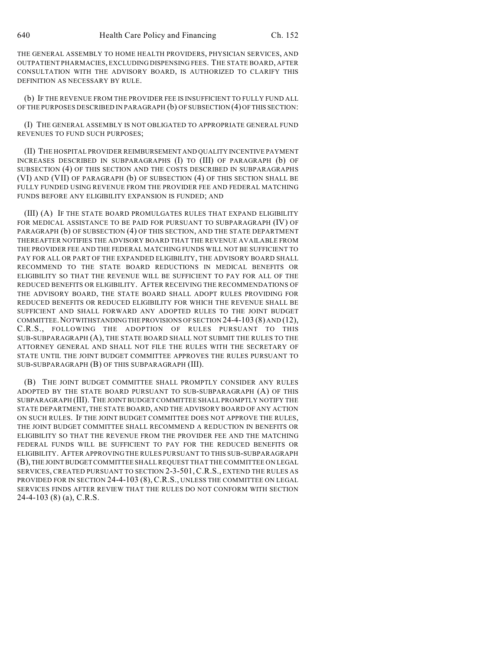THE GENERAL ASSEMBLY TO HOME HEALTH PROVIDERS, PHYSICIAN SERVICES, AND OUTPATIENT PHARMACIES, EXCLUDING DISPENSING FEES. THE STATE BOARD, AFTER CONSULTATION WITH THE ADVISORY BOARD, IS AUTHORIZED TO CLARIFY THIS DEFINITION AS NECESSARY BY RULE.

(b) IF THE REVENUE FROM THE PROVIDER FEE IS INSUFFICIENT TO FULLY FUND ALL OF THE PURPOSES DESCRIBED IN PARAGRAPH (b) OF SUBSECTION (4) OF THIS SECTION:

(I) THE GENERAL ASSEMBLY IS NOT OBLIGATED TO APPROPRIATE GENERAL FUND REVENUES TO FUND SUCH PURPOSES;

(II) THE HOSPITAL PROVIDER REIMBURSEMENT AND QUALITY INCENTIVE PAYMENT INCREASES DESCRIBED IN SUBPARAGRAPHS (I) TO (III) OF PARAGRAPH (b) OF SUBSECTION (4) OF THIS SECTION AND THE COSTS DESCRIBED IN SUBPARAGRAPHS (VI) AND (VII) OF PARAGRAPH (b) OF SUBSECTION (4) OF THIS SECTION SHALL BE FULLY FUNDED USING REVENUE FROM THE PROVIDER FEE AND FEDERAL MATCHING FUNDS BEFORE ANY ELIGIBILITY EXPANSION IS FUNDED; AND

(III) (A) IF THE STATE BOARD PROMULGATES RULES THAT EXPAND ELIGIBILITY FOR MEDICAL ASSISTANCE TO BE PAID FOR PURSUANT TO SUBPARAGRAPH (IV) OF PARAGRAPH (b) OF SUBSECTION (4) OF THIS SECTION, AND THE STATE DEPARTMENT THEREAFTER NOTIFIES THE ADVISORY BOARD THAT THE REVENUE AVAILABLE FROM THE PROVIDER FEE AND THE FEDERAL MATCHING FUNDS WILL NOT BE SUFFICIENT TO PAY FOR ALL OR PART OF THE EXPANDED ELIGIBILITY, THE ADVISORY BOARD SHALL RECOMMEND TO THE STATE BOARD REDUCTIONS IN MEDICAL BENEFITS OR ELIGIBILITY SO THAT THE REVENUE WILL BE SUFFICIENT TO PAY FOR ALL OF THE REDUCED BENEFITS OR ELIGIBILITY. AFTER RECEIVING THE RECOMMENDATIONS OF THE ADVISORY BOARD, THE STATE BOARD SHALL ADOPT RULES PROVIDING FOR REDUCED BENEFITS OR REDUCED ELIGIBILITY FOR WHICH THE REVENUE SHALL BE SUFFICIENT AND SHALL FORWARD ANY ADOPTED RULES TO THE JOINT BUDGET COMMITTEE.NOTWITHSTANDING THE PROVISIONS OF SECTION 24-4-103 (8) AND (12), C.R.S., FOLLOWING THE ADOPTION OF RULES PURSUANT TO THIS SUB-SUBPARAGRAPH (A), THE STATE BOARD SHALL NOT SUBMIT THE RULES TO THE ATTORNEY GENERAL AND SHALL NOT FILE THE RULES WITH THE SECRETARY OF STATE UNTIL THE JOINT BUDGET COMMITTEE APPROVES THE RULES PURSUANT TO SUB-SUBPARAGRAPH (B) OF THIS SUBPARAGRAPH (III).

(B) THE JOINT BUDGET COMMITTEE SHALL PROMPTLY CONSIDER ANY RULES ADOPTED BY THE STATE BOARD PURSUANT TO SUB-SUBPARAGRAPH (A) OF THIS SUBPARAGRAPH (III). THE JOINT BUDGETCOMMITTEE SHALL PROMPTLY NOTIFY THE STATE DEPARTMENT, THE STATE BOARD, AND THE ADVISORY BOARD OF ANY ACTION ON SUCH RULES. IF THE JOINT BUDGET COMMITTEE DOES NOT APPROVE THE RULES, THE JOINT BUDGET COMMITTEE SHALL RECOMMEND A REDUCTION IN BENEFITS OR ELIGIBILITY SO THAT THE REVENUE FROM THE PROVIDER FEE AND THE MATCHING FEDERAL FUNDS WILL BE SUFFICIENT TO PAY FOR THE REDUCED BENEFITS OR ELIGIBILITY. AFTER APPROVING THE RULES PURSUANT TO THIS SUB-SUBPARAGRAPH (B), THE JOINT BUDGET COMMITTEE SHALL REQUEST THAT THE COMMITTEE ON LEGAL SERVICES, CREATED PURSUANT TO SECTION 2-3-501, C.R.S., EXTEND THE RULES AS PROVIDED FOR IN SECTION 24-4-103 (8), C.R.S., UNLESS THE COMMITTEE ON LEGAL SERVICES FINDS AFTER REVIEW THAT THE RULES DO NOT CONFORM WITH SECTION 24-4-103 (8) (a), C.R.S.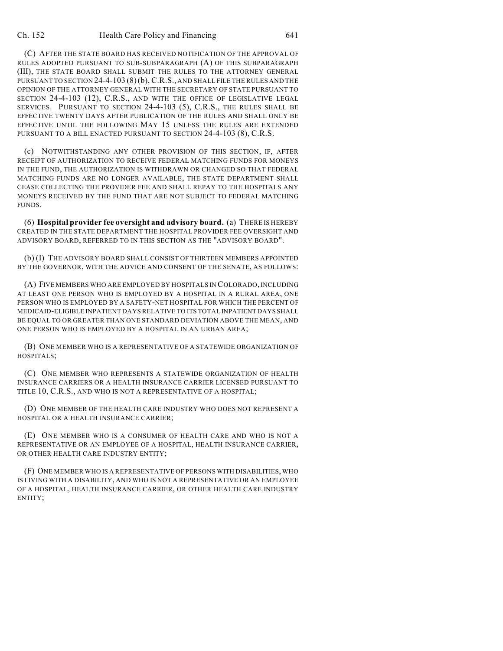(C) AFTER THE STATE BOARD HAS RECEIVED NOTIFICATION OF THE APPROVAL OF RULES ADOPTED PURSUANT TO SUB-SUBPARAGRAPH (A) OF THIS SUBPARAGRAPH (III), THE STATE BOARD SHALL SUBMIT THE RULES TO THE ATTORNEY GENERAL PURSUANT TO SECTION 24-4-103 (8)(b), C.R.S., AND SHALL FILE THE RULES AND THE OPINION OF THE ATTORNEY GENERAL WITH THE SECRETARY OF STATE PURSUANT TO SECTION 24-4-103 (12), C.R.S., AND WITH THE OFFICE OF LEGISLATIVE LEGAL SERVICES. PURSUANT TO SECTION 24-4-103 (5), C.R.S., THE RULES SHALL BE EFFECTIVE TWENTY DAYS AFTER PUBLICATION OF THE RULES AND SHALL ONLY BE EFFECTIVE UNTIL THE FOLLOWING MAY 15 UNLESS THE RULES ARE EXTENDED PURSUANT TO A BILL ENACTED PURSUANT TO SECTION 24-4-103 (8), C.R.S.

(c) NOTWITHSTANDING ANY OTHER PROVISION OF THIS SECTION, IF, AFTER RECEIPT OF AUTHORIZATION TO RECEIVE FEDERAL MATCHING FUNDS FOR MONEYS IN THE FUND, THE AUTHORIZATION IS WITHDRAWN OR CHANGED SO THAT FEDERAL MATCHING FUNDS ARE NO LONGER AVAILABLE, THE STATE DEPARTMENT SHALL CEASE COLLECTING THE PROVIDER FEE AND SHALL REPAY TO THE HOSPITALS ANY MONEYS RECEIVED BY THE FUND THAT ARE NOT SUBJECT TO FEDERAL MATCHING FUNDS.

(6) **Hospital provider fee oversight and advisory board.** (a) THERE IS HEREBY CREATED IN THE STATE DEPARTMENT THE HOSPITAL PROVIDER FEE OVERSIGHT AND ADVISORY BOARD, REFERRED TO IN THIS SECTION AS THE "ADVISORY BOARD".

(b) (I) THE ADVISORY BOARD SHALL CONSIST OF THIRTEEN MEMBERS APPOINTED BY THE GOVERNOR, WITH THE ADVICE AND CONSENT OF THE SENATE, AS FOLLOWS:

(A) FIVE MEMBERS WHO ARE EMPLOYED BY HOSPITALS IN COLORADO, INCLUDING AT LEAST ONE PERSON WHO IS EMPLOYED BY A HOSPITAL IN A RURAL AREA, ONE PERSON WHO IS EMPLOYED BY A SAFETY-NET HOSPITAL FOR WHICH THE PERCENT OF MEDICAID-ELIGIBLE INPATIENT DAYS RELATIVE TO ITS TOTAL INPATIENT DAYS SHALL BE EQUAL TO OR GREATER THAN ONE STANDARD DEVIATION ABOVE THE MEAN, AND ONE PERSON WHO IS EMPLOYED BY A HOSPITAL IN AN URBAN AREA;

(B) ONE MEMBER WHO IS A REPRESENTATIVE OF A STATEWIDE ORGANIZATION OF HOSPITALS;

(C) ONE MEMBER WHO REPRESENTS A STATEWIDE ORGANIZATION OF HEALTH INSURANCE CARRIERS OR A HEALTH INSURANCE CARRIER LICENSED PURSUANT TO TITLE 10, C.R.S., AND WHO IS NOT A REPRESENTATIVE OF A HOSPITAL;

(D) ONE MEMBER OF THE HEALTH CARE INDUSTRY WHO DOES NOT REPRESENT A HOSPITAL OR A HEALTH INSURANCE CARRIER;

(E) ONE MEMBER WHO IS A CONSUMER OF HEALTH CARE AND WHO IS NOT A REPRESENTATIVE OR AN EMPLOYEE OF A HOSPITAL, HEALTH INSURANCE CARRIER, OR OTHER HEALTH CARE INDUSTRY ENTITY;

(F) ONE MEMBER WHO IS A REPRESENTATIVE OF PERSONS WITH DISABILITIES, WHO IS LIVING WITH A DISABILITY, AND WHO IS NOT A REPRESENTATIVE OR AN EMPLOYEE OF A HOSPITAL, HEALTH INSURANCE CARRIER, OR OTHER HEALTH CARE INDUSTRY ENTITY;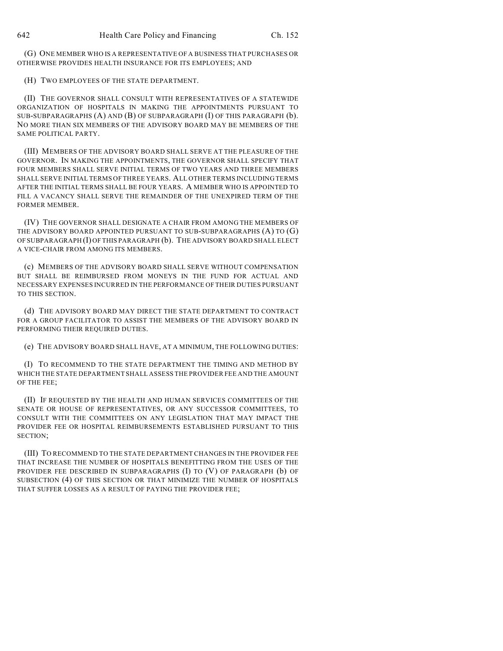(G) ONE MEMBER WHO IS A REPRESENTATIVE OF A BUSINESS THAT PURCHASES OR OTHERWISE PROVIDES HEALTH INSURANCE FOR ITS EMPLOYEES; AND

(H) TWO EMPLOYEES OF THE STATE DEPARTMENT.

(II) THE GOVERNOR SHALL CONSULT WITH REPRESENTATIVES OF A STATEWIDE ORGANIZATION OF HOSPITALS IN MAKING THE APPOINTMENTS PURSUANT TO SUB-SUBPARAGRAPHS (A) AND (B) OF SUBPARAGRAPH (I) OF THIS PARAGRAPH (b). NO MORE THAN SIX MEMBERS OF THE ADVISORY BOARD MAY BE MEMBERS OF THE SAME POLITICAL PARTY.

(III) MEMBERS OF THE ADVISORY BOARD SHALL SERVE AT THE PLEASURE OF THE GOVERNOR. IN MAKING THE APPOINTMENTS, THE GOVERNOR SHALL SPECIFY THAT FOUR MEMBERS SHALL SERVE INITIAL TERMS OF TWO YEARS AND THREE MEMBERS SHALL SERVE INITIAL TERMS OF THREE YEARS. ALL OTHER TERMS INCLUDING TERMS AFTER THE INITIAL TERMS SHALL BE FOUR YEARS. A MEMBER WHO IS APPOINTED TO FILL A VACANCY SHALL SERVE THE REMAINDER OF THE UNEXPIRED TERM OF THE FORMER MEMBER.

(IV) THE GOVERNOR SHALL DESIGNATE A CHAIR FROM AMONG THE MEMBERS OF THE ADVISORY BOARD APPOINTED PURSUANT TO SUB-SUBPARAGRAPHS (A) TO (G) OF SUBPARAGRAPH (I) OF THIS PARAGRAPH (b). THE ADVISORY BOARD SHALL ELECT A VICE-CHAIR FROM AMONG ITS MEMBERS.

(c) MEMBERS OF THE ADVISORY BOARD SHALL SERVE WITHOUT COMPENSATION BUT SHALL BE REIMBURSED FROM MONEYS IN THE FUND FOR ACTUAL AND NECESSARY EXPENSES INCURRED IN THE PERFORMANCE OF THEIR DUTIES PURSUANT TO THIS SECTION.

(d) THE ADVISORY BOARD MAY DIRECT THE STATE DEPARTMENT TO CONTRACT FOR A GROUP FACILITATOR TO ASSIST THE MEMBERS OF THE ADVISORY BOARD IN PERFORMING THEIR REQUIRED DUTIES.

(e) THE ADVISORY BOARD SHALL HAVE, AT A MINIMUM, THE FOLLOWING DUTIES:

(I) TO RECOMMEND TO THE STATE DEPARTMENT THE TIMING AND METHOD BY WHICH THE STATE DEPARTMENT SHALL ASSESS THE PROVIDER FEE AND THE AMOUNT OF THE FEE;

(II) IF REQUESTED BY THE HEALTH AND HUMAN SERVICES COMMITTEES OF THE SENATE OR HOUSE OF REPRESENTATIVES, OR ANY SUCCESSOR COMMITTEES, TO CONSULT WITH THE COMMITTEES ON ANY LEGISLATION THAT MAY IMPACT THE PROVIDER FEE OR HOSPITAL REIMBURSEMENTS ESTABLISHED PURSUANT TO THIS SECTION;

(III) TO RECOMMEND TO THE STATE DEPARTMENT CHANGES IN THE PROVIDER FEE THAT INCREASE THE NUMBER OF HOSPITALS BENEFITTING FROM THE USES OF THE PROVIDER FEE DESCRIBED IN SUBPARAGRAPHS (I) TO (V) OF PARAGRAPH (b) OF SUBSECTION (4) OF THIS SECTION OR THAT MINIMIZE THE NUMBER OF HOSPITALS THAT SUFFER LOSSES AS A RESULT OF PAYING THE PROVIDER FEE;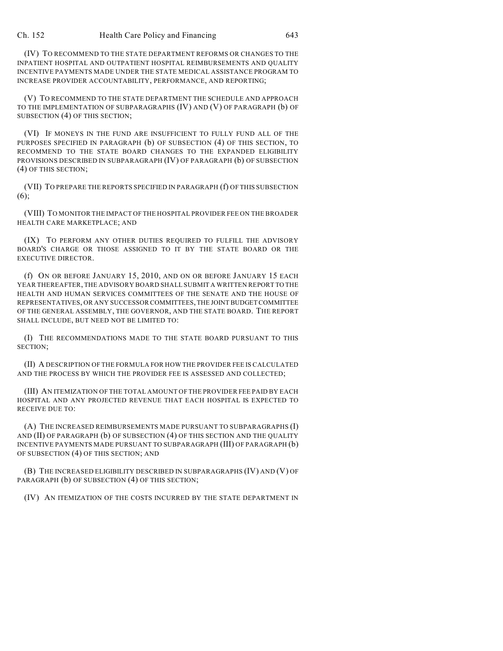(IV) TO RECOMMEND TO THE STATE DEPARTMENT REFORMS OR CHANGES TO THE INPATIENT HOSPITAL AND OUTPATIENT HOSPITAL REIMBURSEMENTS AND QUALITY INCENTIVE PAYMENTS MADE UNDER THE STATE MEDICAL ASSISTANCE PROGRAM TO INCREASE PROVIDER ACCOUNTABILITY, PERFORMANCE, AND REPORTING;

(V) TO RECOMMEND TO THE STATE DEPARTMENT THE SCHEDULE AND APPROACH TO THE IMPLEMENTATION OF SUBPARAGRAPHS (IV) AND (V) OF PARAGRAPH (b) OF SUBSECTION (4) OF THIS SECTION;

(VI) IF MONEYS IN THE FUND ARE INSUFFICIENT TO FULLY FUND ALL OF THE PURPOSES SPECIFIED IN PARAGRAPH (b) OF SUBSECTION (4) OF THIS SECTION, TO RECOMMEND TO THE STATE BOARD CHANGES TO THE EXPANDED ELIGIBILITY PROVISIONS DESCRIBED IN SUBPARAGRAPH (IV) OF PARAGRAPH (b) OF SUBSECTION (4) OF THIS SECTION;

(VII) TO PREPARE THE REPORTS SPECIFIED IN PARAGRAPH (f) OF THIS SUBSECTION (6);

(VIII) TO MONITOR THE IMPACT OF THE HOSPITAL PROVIDER FEE ON THE BROADER HEALTH CARE MARKETPLACE; AND

(IX) TO PERFORM ANY OTHER DUTIES REQUIRED TO FULFILL THE ADVISORY BOARD'S CHARGE OR THOSE ASSIGNED TO IT BY THE STATE BOARD OR THE EXECUTIVE DIRECTOR.

(f) ON OR BEFORE JANUARY 15, 2010, AND ON OR BEFORE JANUARY 15 EACH YEAR THEREAFTER, THE ADVISORY BOARD SHALL SUBMIT A WRITTEN REPORT TO THE HEALTH AND HUMAN SERVICES COMMITTEES OF THE SENATE AND THE HOUSE OF REPRESENTATIVES, OR ANY SUCCESSOR COMMITTEES, THE JOINT BUDGET COMMITTEE OF THE GENERAL ASSEMBLY, THE GOVERNOR, AND THE STATE BOARD. THE REPORT SHALL INCLUDE, BUT NEED NOT BE LIMITED TO:

(I) THE RECOMMENDATIONS MADE TO THE STATE BOARD PURSUANT TO THIS SECTION;

(II) A DESCRIPTION OF THE FORMULA FOR HOW THE PROVIDER FEE IS CALCULATED AND THE PROCESS BY WHICH THE PROVIDER FEE IS ASSESSED AND COLLECTED;

(III) AN ITEMIZATION OF THE TOTAL AMOUNT OF THE PROVIDER FEE PAID BY EACH HOSPITAL AND ANY PROJECTED REVENUE THAT EACH HOSPITAL IS EXPECTED TO RECEIVE DUE TO:

(A) THE INCREASED REIMBURSEMENTS MADE PURSUANT TO SUBPARAGRAPHS (I) AND (II) OF PARAGRAPH (b) OF SUBSECTION (4) OF THIS SECTION AND THE QUALITY INCENTIVE PAYMENTS MADE PURSUANT TO SUBPARAGRAPH (III) OF PARAGRAPH (b) OF SUBSECTION (4) OF THIS SECTION; AND

(B) THE INCREASED ELIGIBILITY DESCRIBED IN SUBPARAGRAPHS (IV) AND (V) OF PARAGRAPH (b) OF SUBSECTION (4) OF THIS SECTION;

(IV) AN ITEMIZATION OF THE COSTS INCURRED BY THE STATE DEPARTMENT IN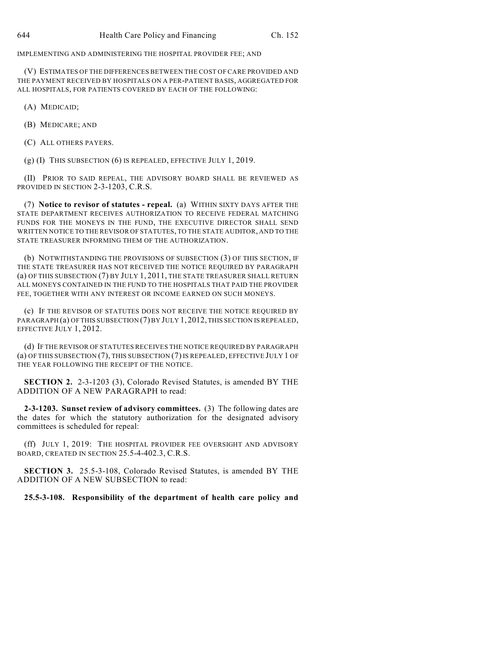IMPLEMENTING AND ADMINISTERING THE HOSPITAL PROVIDER FEE; AND

(V) ESTIMATES OF THE DIFFERENCES BETWEEN THE COST OF CARE PROVIDED AND THE PAYMENT RECEIVED BY HOSPITALS ON A PER-PATIENT BASIS, AGGREGATED FOR ALL HOSPITALS, FOR PATIENTS COVERED BY EACH OF THE FOLLOWING:

(A) MEDICAID;

(B) MEDICARE; AND

(C) ALL OTHERS PAYERS.

 $(g)$  (I) THIS SUBSECTION  $(6)$  IS REPEALED, EFFECTIVE JULY 1, 2019.

(II) PRIOR TO SAID REPEAL, THE ADVISORY BOARD SHALL BE REVIEWED AS PROVIDED IN SECTION 2-3-1203, C.R.S.

(7) **Notice to revisor of statutes - repeal.** (a) WITHIN SIXTY DAYS AFTER THE STATE DEPARTMENT RECEIVES AUTHORIZATION TO RECEIVE FEDERAL MATCHING FUNDS FOR THE MONEYS IN THE FUND, THE EXECUTIVE DIRECTOR SHALL SEND WRITTEN NOTICE TO THE REVISOR OF STATUTES, TO THE STATE AUDITOR, AND TO THE STATE TREASURER INFORMING THEM OF THE AUTHORIZATION.

(b) NOTWITHSTANDING THE PROVISIONS OF SUBSECTION (3) OF THIS SECTION, IF THE STATE TREASURER HAS NOT RECEIVED THE NOTICE REQUIRED BY PARAGRAPH (a) OF THIS SUBSECTION (7) BY JULY 1, 2011, THE STATE TREASURER SHALL RETURN ALL MONEYS CONTAINED IN THE FUND TO THE HOSPITALS THAT PAID THE PROVIDER FEE, TOGETHER WITH ANY INTEREST OR INCOME EARNED ON SUCH MONEYS.

(c) IF THE REVISOR OF STATUTES DOES NOT RECEIVE THE NOTICE REQUIRED BY PARAGRAPH (a) OF THIS SUBSECTION (7) BY JULY 1, 2012, THIS SECTION IS REPEALED, EFFECTIVE JULY 1, 2012.

(d) IF THE REVISOR OF STATUTES RECEIVES THE NOTICE REQUIRED BY PARAGRAPH (a) OF THIS SUBSECTION (7), THIS SUBSECTION (7) IS REPEALED, EFFECTIVE JULY 1 OF THE YEAR FOLLOWING THE RECEIPT OF THE NOTICE.

**SECTION 2.** 2-3-1203 (3), Colorado Revised Statutes, is amended BY THE ADDITION OF A NEW PARAGRAPH to read:

**2-3-1203. Sunset review of advisory committees.** (3) The following dates are the dates for which the statutory authorization for the designated advisory committees is scheduled for repeal:

(ff) JULY 1, 2019: THE HOSPITAL PROVIDER FEE OVERSIGHT AND ADVISORY BOARD, CREATED IN SECTION 25.5-4-402.3, C.R.S.

**SECTION 3.** 25.5-3-108, Colorado Revised Statutes, is amended BY THE ADDITION OF A NEW SUBSECTION to read:

**25.5-3-108. Responsibility of the department of health care policy and**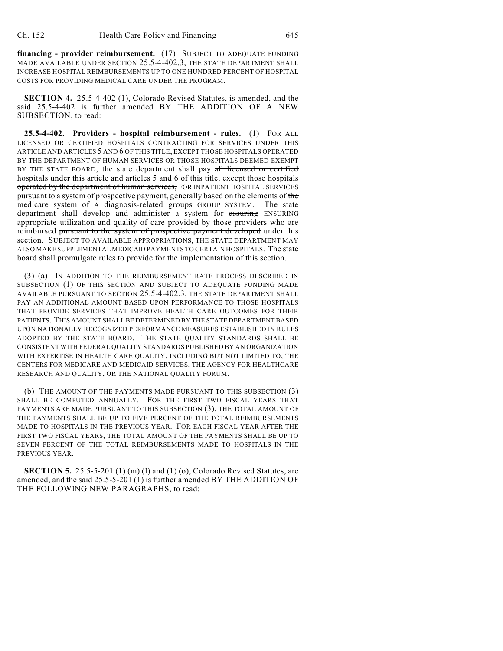**financing - provider reimbursement.** (17) SUBJECT TO ADEQUATE FUNDING MADE AVAILABLE UNDER SECTION 25.5-4-402.3, THE STATE DEPARTMENT SHALL INCREASE HOSPITAL REIMBURSEMENTS UP TO ONE HUNDRED PERCENT OF HOSPITAL COSTS FOR PROVIDING MEDICAL CARE UNDER THE PROGRAM.

**SECTION 4.** 25.5-4-402 (1), Colorado Revised Statutes, is amended, and the said 25.5-4-402 is further amended BY THE ADDITION OF A NEW SUBSECTION, to read:

**25.5-4-402. Providers - hospital reimbursement - rules.** (1) FOR ALL LICENSED OR CERTIFIED HOSPITALS CONTRACTING FOR SERVICES UNDER THIS ARTICLE AND ARTICLES 5 AND 6 OF THIS TITLE, EXCEPT THOSE HOSPITALS OPERATED BY THE DEPARTMENT OF HUMAN SERVICES OR THOSE HOSPITALS DEEMED EXEMPT BY THE STATE BOARD, the state department shall pay all licensed or certified hospitals under this article and articles 5 and 6 of this title, except those hospitals operated by the department of human services, FOR INPATIENT HOSPITAL SERVICES pursuant to a system of prospective payment, generally based on the elements of the medicare system of A diagnosis-related groups GROUP SYSTEM. The state department shall develop and administer a system for assuring ENSURING appropriate utilization and quality of care provided by those providers who are reimbursed pursuant to the system of prospective payment developed under this section. SUBJECT TO AVAILABLE APPROPRIATIONS, THE STATE DEPARTMENT MAY ALSO MAKE SUPPLEMENTAL MEDICAID PAYMENTS TO CERTAIN HOSPITALS. The state board shall promulgate rules to provide for the implementation of this section.

(3) (a) IN ADDITION TO THE REIMBURSEMENT RATE PROCESS DESCRIBED IN SUBSECTION (1) OF THIS SECTION AND SUBJECT TO ADEQUATE FUNDING MADE AVAILABLE PURSUANT TO SECTION 25.5-4-402.3, THE STATE DEPARTMENT SHALL PAY AN ADDITIONAL AMOUNT BASED UPON PERFORMANCE TO THOSE HOSPITALS THAT PROVIDE SERVICES THAT IMPROVE HEALTH CARE OUTCOMES FOR THEIR PATIENTS. THIS AMOUNT SHALL BE DETERMINED BY THE STATE DEPARTMENT BASED UPON NATIONALLY RECOGNIZED PERFORMANCE MEASURES ESTABLISHED IN RULES ADOPTED BY THE STATE BOARD. THE STATE QUALITY STANDARDS SHALL BE CONSISTENT WITH FEDERAL QUALITY STANDARDS PUBLISHED BY AN ORGANIZATION WITH EXPERTISE IN HEALTH CARE QUALITY, INCLUDING BUT NOT LIMITED TO, THE CENTERS FOR MEDICARE AND MEDICAID SERVICES, THE AGENCY FOR HEALTHCARE RESEARCH AND QUALITY, OR THE NATIONAL QUALITY FORUM.

(b) THE AMOUNT OF THE PAYMENTS MADE PURSUANT TO THIS SUBSECTION (3) SHALL BE COMPUTED ANNUALLY. FOR THE FIRST TWO FISCAL YEARS THAT PAYMENTS ARE MADE PURSUANT TO THIS SUBSECTION (3), THE TOTAL AMOUNT OF THE PAYMENTS SHALL BE UP TO FIVE PERCENT OF THE TOTAL REIMBURSEMENTS MADE TO HOSPITALS IN THE PREVIOUS YEAR. FOR EACH FISCAL YEAR AFTER THE FIRST TWO FISCAL YEARS, THE TOTAL AMOUNT OF THE PAYMENTS SHALL BE UP TO SEVEN PERCENT OF THE TOTAL REIMBURSEMENTS MADE TO HOSPITALS IN THE PREVIOUS YEAR.

**SECTION 5.** 25.5-5-201 (1) (m) (I) and (1) (o), Colorado Revised Statutes, are amended, and the said 25.5-5-201 (1) is further amended BY THE ADDITION OF THE FOLLOWING NEW PARAGRAPHS, to read: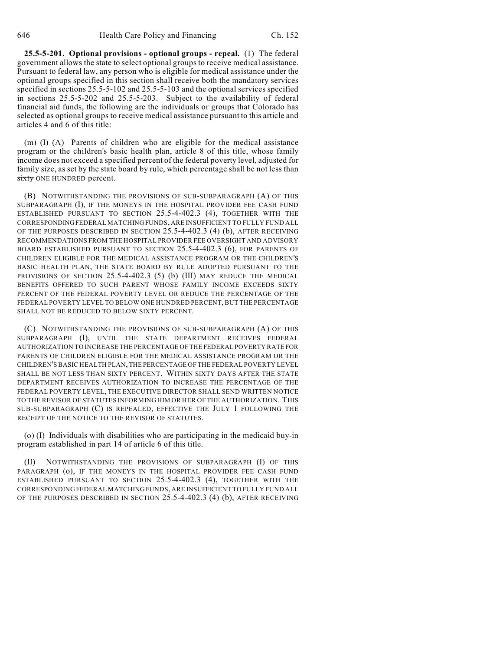**25.5-5-201. Optional provisions - optional groups - repeal.** (1) The federal government allows the state to select optional groups to receive medical assistance. Pursuant to federal law, any person who is eligible for medical assistance under the optional groups specified in this section shall receive both the mandatory services specified in sections 25.5-5-102 and 25.5-5-103 and the optional services specified in sections 25.5-5-202 and 25.5-5-203. Subject to the availability of federal financial aid funds, the following are the individuals or groups that Colorado has selected as optional groups to receive medical assistance pursuant to this article and articles 4 and 6 of this title:

(m) (I) (A) Parents of children who are eligible for the medical assistance program or the children's basic health plan, article 8 of this title, whose family income does not exceed a specified percent of the federal poverty level, adjusted for family size, as set by the state board by rule, which percentage shall be not less than sixty ONE HUNDRED percent.

(B) NOTWITHSTANDING THE PROVISIONS OF SUB-SUBPARAGRAPH (A) OF THIS SUBPARAGRAPH (I), IF THE MONEYS IN THE HOSPITAL PROVIDER FEE CASH FUND ESTABLISHED PURSUANT TO SECTION 25.5-4-402.3 (4), TOGETHER WITH THE CORRESPONDING FEDERAL MATCHING FUNDS, ARE INSUFFICIENT TO FULLY FUND ALL OF THE PURPOSES DESCRIBED IN SECTION 25.5-4-402.3 (4) (b), AFTER RECEIVING RECOMMENDATIONS FROM THE HOSPITAL PROVIDER FEE OVERSIGHT AND ADVISORY BOARD ESTABLISHED PURSUANT TO SECTION 25.5-4-402.3 (6), FOR PARENTS OF CHILDREN ELIGIBLE FOR THE MEDICAL ASSISTANCE PROGRAM OR THE CHILDREN'S BASIC HEALTH PLAN, THE STATE BOARD BY RULE ADOPTED PURSUANT TO THE PROVISIONS OF SECTION 25.5-4-402.3 (5) (b) (III) MAY REDUCE THE MEDICAL BENEFITS OFFERED TO SUCH PARENT WHOSE FAMILY INCOME EXCEEDS SIXTY PERCENT OF THE FEDERAL POVERTY LEVEL OR REDUCE THE PERCENTAGE OF THE FEDERAL POVERTY LEVEL TO BELOW ONE HUNDRED PERCENT, BUT THE PERCENTAGE SHALL NOT BE REDUCED TO BELOW SIXTY PERCENT.

(C) NOTWITHSTANDING THE PROVISIONS OF SUB-SUBPARAGRAPH (A) OF THIS SUBPARAGRAPH (I), UNTIL THE STATE DEPARTMENT RECEIVES FEDERAL AUTHORIZATION TO INCREASE THE PERCENTAGE OF THE FEDERAL POVERTY RATE FOR PARENTS OF CHILDREN ELIGIBLE FOR THE MEDICAL ASSISTANCE PROGRAM OR THE CHILDREN'S BASIC HEALTH PLAN, THE PERCENTAGE OF THE FEDERAL POVERTY LEVEL SHALL BE NOT LESS THAN SIXTY PERCENT. WITHIN SIXTY DAYS AFTER THE STATE DEPARTMENT RECEIVES AUTHORIZATION TO INCREASE THE PERCENTAGE OF THE FEDERAL POVERTY LEVEL, THE EXECUTIVE DIRECTOR SHALL SEND WRITTEN NOTICE TO THE REVISOR OF STATUTES INFORMING HIM OR HER OF THE AUTHORIZATION. THIS SUB-SUBPARAGRAPH (C) IS REPEALED, EFFECTIVE THE JULY 1 FOLLOWING THE RECEIPT OF THE NOTICE TO THE REVISOR OF STATUTES.

(o) (I) Individuals with disabilities who are participating in the medicaid buy-in program established in part 14 of article 6 of this title.

(II) NOTWITHSTANDING THE PROVISIONS OF SUBPARAGRAPH (I) OF THIS PARAGRAPH (o), IF THE MONEYS IN THE HOSPITAL PROVIDER FEE CASH FUND ESTABLISHED PURSUANT TO SECTION 25.5-4-402.3 (4), TOGETHER WITH THE CORRESPONDING FEDERAL MATCHING FUNDS, ARE INSUFFICIENT TO FULLY FUND ALL OF THE PURPOSES DESCRIBED IN SECTION 25.5-4-402.3 (4) (b), AFTER RECEIVING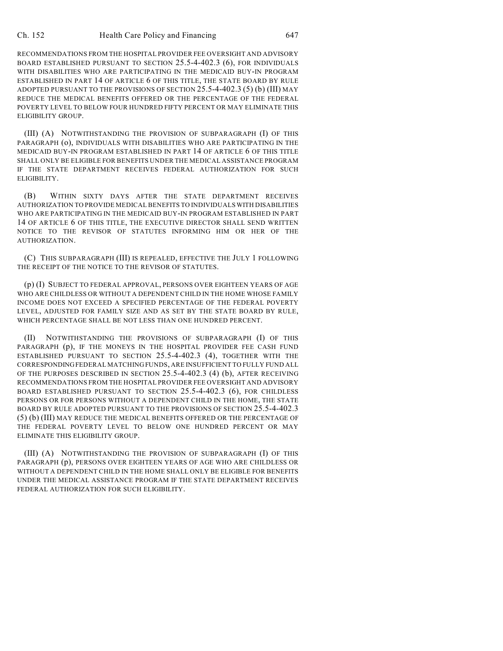RECOMMENDATIONS FROM THE HOSPITAL PROVIDER FEE OVERSIGHT AND ADVISORY BOARD ESTABLISHED PURSUANT TO SECTION 25.5-4-402.3 (6), FOR INDIVIDUALS WITH DISABILITIES WHO ARE PARTICIPATING IN THE MEDICAID BUY-IN PROGRAM ESTABLISHED IN PART 14 OF ARTICLE 6 OF THIS TITLE, THE STATE BOARD BY RULE ADOPTED PURSUANT TO THE PROVISIONS OF SECTION 25.5-4-402.3 (5) (b) (III) MAY REDUCE THE MEDICAL BENEFITS OFFERED OR THE PERCENTAGE OF THE FEDERAL POVERTY LEVEL TO BELOW FOUR HUNDRED FIFTY PERCENT OR MAY ELIMINATE THIS ELIGIBILITY GROUP.

(III) (A) NOTWITHSTANDING THE PROVISION OF SUBPARAGRAPH (I) OF THIS PARAGRAPH (o), INDIVIDUALS WITH DISABILITIES WHO ARE PARTICIPATING IN THE MEDICAID BUY-IN PROGRAM ESTABLISHED IN PART 14 OF ARTICLE 6 OF THIS TITLE SHALL ONLY BE ELIGIBLE FOR BENEFITS UNDER THE MEDICAL ASSISTANCE PROGRAM IF THE STATE DEPARTMENT RECEIVES FEDERAL AUTHORIZATION FOR SUCH ELIGIBILITY.

(B) WITHIN SIXTY DAYS AFTER THE STATE DEPARTMENT RECEIVES AUTHORIZATION TO PROVIDE MEDICAL BENEFITS TO INDIVIDUALS WITH DISABILITIES WHO ARE PARTICIPATING IN THE MEDICAID BUY-IN PROGRAM ESTABLISHED IN PART 14 OF ARTICLE 6 OF THIS TITLE, THE EXECUTIVE DIRECTOR SHALL SEND WRITTEN NOTICE TO THE REVISOR OF STATUTES INFORMING HIM OR HER OF THE AUTHORIZATION.

(C) THIS SUBPARAGRAPH (III) IS REPEALED, EFFECTIVE THE JULY 1 FOLLOWING THE RECEIPT OF THE NOTICE TO THE REVISOR OF STATUTES.

(p) (I) SUBJECT TO FEDERAL APPROVAL, PERSONS OVER EIGHTEEN YEARS OF AGE WHO ARE CHILDLESS OR WITHOUT A DEPENDENT CHILD IN THE HOME WHOSE FAMILY INCOME DOES NOT EXCEED A SPECIFIED PERCENTAGE OF THE FEDERAL POVERTY LEVEL, ADJUSTED FOR FAMILY SIZE AND AS SET BY THE STATE BOARD BY RULE, WHICH PERCENTAGE SHALL BE NOT LESS THAN ONE HUNDRED PERCENT.

(II) NOTWITHSTANDING THE PROVISIONS OF SUBPARAGRAPH (I) OF THIS PARAGRAPH (p), IF THE MONEYS IN THE HOSPITAL PROVIDER FEE CASH FUND ESTABLISHED PURSUANT TO SECTION 25.5-4-402.3 (4), TOGETHER WITH THE CORRESPONDING FEDERAL MATCHING FUNDS, ARE INSUFFICIENT TO FULLY FUND ALL OF THE PURPOSES DESCRIBED IN SECTION 25.5-4-402.3 (4) (b), AFTER RECEIVING RECOMMENDATIONS FROM THE HOSPITAL PROVIDER FEE OVERSIGHT AND ADVISORY BOARD ESTABLISHED PURSUANT TO SECTION 25.5-4-402.3 (6), FOR CHILDLESS PERSONS OR FOR PERSONS WITHOUT A DEPENDENT CHILD IN THE HOME, THE STATE BOARD BY RULE ADOPTED PURSUANT TO THE PROVISIONS OF SECTION 25.5-4-402.3 (5) (b) (III) MAY REDUCE THE MEDICAL BENEFITS OFFERED OR THE PERCENTAGE OF THE FEDERAL POVERTY LEVEL TO BELOW ONE HUNDRED PERCENT OR MAY ELIMINATE THIS ELIGIBILITY GROUP.

(III) (A) NOTWITHSTANDING THE PROVISION OF SUBPARAGRAPH (I) OF THIS PARAGRAPH (p), PERSONS OVER EIGHTEEN YEARS OF AGE WHO ARE CHILDLESS OR WITHOUT A DEPENDENT CHILD IN THE HOME SHALL ONLY BE ELIGIBLE FOR BENEFITS UNDER THE MEDICAL ASSISTANCE PROGRAM IF THE STATE DEPARTMENT RECEIVES FEDERAL AUTHORIZATION FOR SUCH ELIGIBILITY.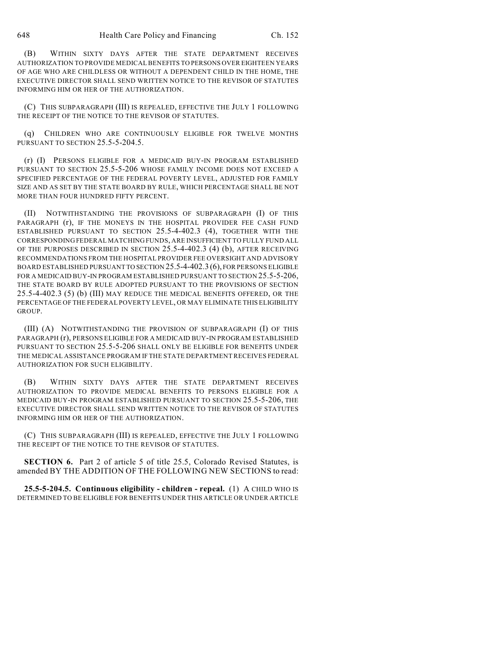(B) WITHIN SIXTY DAYS AFTER THE STATE DEPARTMENT RECEIVES AUTHORIZATION TO PROVIDE MEDICAL BENEFITS TO PERSONS OVER EIGHTEEN YEARS OF AGE WHO ARE CHILDLESS OR WITHOUT A DEPENDENT CHILD IN THE HOME, THE EXECUTIVE DIRECTOR SHALL SEND WRITTEN NOTICE TO THE REVISOR OF STATUTES INFORMING HIM OR HER OF THE AUTHORIZATION.

(C) THIS SUBPARAGRAPH (III) IS REPEALED, EFFECTIVE THE JULY 1 FOLLOWING THE RECEIPT OF THE NOTICE TO THE REVISOR OF STATUTES.

(q) CHILDREN WHO ARE CONTINUOUSLY ELIGIBLE FOR TWELVE MONTHS PURSUANT TO SECTION 25.5-5-204.5.

(r) (I) PERSONS ELIGIBLE FOR A MEDICAID BUY-IN PROGRAM ESTABLISHED PURSUANT TO SECTION 25.5-5-206 WHOSE FAMILY INCOME DOES NOT EXCEED A SPECIFIED PERCENTAGE OF THE FEDERAL POVERTY LEVEL, ADJUSTED FOR FAMILY SIZE AND AS SET BY THE STATE BOARD BY RULE, WHICH PERCENTAGE SHALL BE NOT MORE THAN FOUR HUNDRED FIFTY PERCENT.

(II) NOTWITHSTANDING THE PROVISIONS OF SUBPARAGRAPH (I) OF THIS PARAGRAPH (r), IF THE MONEYS IN THE HOSPITAL PROVIDER FEE CASH FUND ESTABLISHED PURSUANT TO SECTION 25.5-4-402.3 (4), TOGETHER WITH THE CORRESPONDING FEDERAL MATCHING FUNDS, ARE INSUFFICIENT TO FULLY FUND ALL OF THE PURPOSES DESCRIBED IN SECTION 25.5-4-402.3 (4) (b), AFTER RECEIVING RECOMMENDATIONS FROM THE HOSPITAL PROVIDER FEE OVERSIGHT AND ADVISORY BOARD ESTABLISHED PURSUANT TO SECTION 25.5-4-402.3 (6), FOR PERSONS ELIGIBLE FOR A MEDICAID BUY-IN PROGRAM ESTABLISHED PURSUANT TO SECTION 25.5-5-206, THE STATE BOARD BY RULE ADOPTED PURSUANT TO THE PROVISIONS OF SECTION 25.5-4-402.3 (5) (b) (III) MAY REDUCE THE MEDICAL BENEFITS OFFERED, OR THE PERCENTAGE OF THE FEDERAL POVERTY LEVEL, OR MAY ELIMINATE THIS ELIGIBILITY GROUP.

(III) (A) NOTWITHSTANDING THE PROVISION OF SUBPARAGRAPH (I) OF THIS PARAGRAPH (r), PERSONS ELIGIBLE FOR A MEDICAID BUY-IN PROGRAM ESTABLISHED PURSUANT TO SECTION 25.5-5-206 SHALL ONLY BE ELIGIBLE FOR BENEFITS UNDER THE MEDICAL ASSISTANCE PROGRAM IF THE STATE DEPARTMENT RECEIVES FEDERAL AUTHORIZATION FOR SUCH ELIGIBILITY.

(B) WITHIN SIXTY DAYS AFTER THE STATE DEPARTMENT RECEIVES AUTHORIZATION TO PROVIDE MEDICAL BENEFITS TO PERSONS ELIGIBLE FOR A MEDICAID BUY-IN PROGRAM ESTABLISHED PURSUANT TO SECTION 25.5-5-206, THE EXECUTIVE DIRECTOR SHALL SEND WRITTEN NOTICE TO THE REVISOR OF STATUTES INFORMING HIM OR HER OF THE AUTHORIZATION.

(C) THIS SUBPARAGRAPH (III) IS REPEALED, EFFECTIVE THE JULY 1 FOLLOWING THE RECEIPT OF THE NOTICE TO THE REVISOR OF STATUTES.

**SECTION 6.** Part 2 of article 5 of title 25.5, Colorado Revised Statutes, is amended BY THE ADDITION OF THE FOLLOWING NEW SECTIONS to read:

**25.5-5-204.5. Continuous eligibility - children - repeal.** (1) A CHILD WHO IS DETERMINED TO BE ELIGIBLE FOR BENEFITS UNDER THIS ARTICLE OR UNDER ARTICLE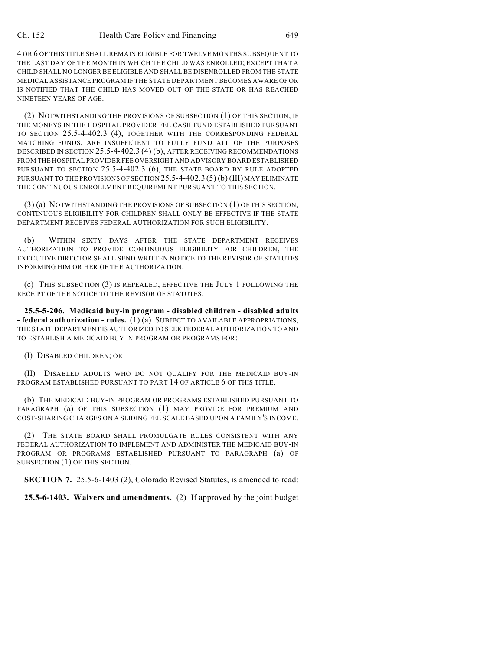4 OR 6 OF THIS TITLE SHALL REMAIN ELIGIBLE FOR TWELVE MONTHS SUBSEQUENT TO THE LAST DAY OF THE MONTH IN WHICH THE CHILD WAS ENROLLED; EXCEPT THAT A CHILD SHALL NO LONGER BE ELIGIBLE AND SHALL BE DISENROLLED FROM THE STATE MEDICAL ASSISTANCE PROGRAM IF THE STATE DEPARTMENT BECOMES AWARE OF OR IS NOTIFIED THAT THE CHILD HAS MOVED OUT OF THE STATE OR HAS REACHED NINETEEN YEARS OF AGE.

(2) NOTWITHSTANDING THE PROVISIONS OF SUBSECTION (1) OF THIS SECTION, IF THE MONEYS IN THE HOSPITAL PROVIDER FEE CASH FUND ESTABLISHED PURSUANT TO SECTION 25.5-4-402.3 (4), TOGETHER WITH THE CORRESPONDING FEDERAL MATCHING FUNDS, ARE INSUFFICIENT TO FULLY FUND ALL OF THE PURPOSES DESCRIBED IN SECTION 25.5-4-402.3 (4) (b), AFTER RECEIVING RECOMMENDATIONS FROM THE HOSPITAL PROVIDER FEE OVERSIGHT AND ADVISORY BOARD ESTABLISHED PURSUANT TO SECTION 25.5-4-402.3 (6), THE STATE BOARD BY RULE ADOPTED PURSUANT TO THE PROVISIONS OF SECTION 25.5-4-402.3 (5) (b) (III) MAY ELIMINATE THE CONTINUOUS ENROLLMENT REQUIREMENT PURSUANT TO THIS SECTION.

(3) (a) NOTWITHSTANDING THE PROVISIONS OF SUBSECTION (1) OF THIS SECTION, CONTINUOUS ELIGIBILITY FOR CHILDREN SHALL ONLY BE EFFECTIVE IF THE STATE DEPARTMENT RECEIVES FEDERAL AUTHORIZATION FOR SUCH ELIGIBILITY.

(b) WITHIN SIXTY DAYS AFTER THE STATE DEPARTMENT RECEIVES AUTHORIZATION TO PROVIDE CONTINUOUS ELIGIBILITY FOR CHILDREN, THE EXECUTIVE DIRECTOR SHALL SEND WRITTEN NOTICE TO THE REVISOR OF STATUTES INFORMING HIM OR HER OF THE AUTHORIZATION.

(c) THIS SUBSECTION (3) IS REPEALED, EFFECTIVE THE JULY 1 FOLLOWING THE RECEIPT OF THE NOTICE TO THE REVISOR OF STATUTES.

**25.5-5-206. Medicaid buy-in program - disabled children - disabled adults - federal authorization - rules.** (1) (a) SUBJECT TO AVAILABLE APPROPRIATIONS, THE STATE DEPARTMENT IS AUTHORIZED TO SEEK FEDERAL AUTHORIZATION TO AND TO ESTABLISH A MEDICAID BUY IN PROGRAM OR PROGRAMS FOR:

(I) DISABLED CHILDREN; OR

(II) DISABLED ADULTS WHO DO NOT QUALIFY FOR THE MEDICAID BUY-IN PROGRAM ESTABLISHED PURSUANT TO PART 14 OF ARTICLE 6 OF THIS TITLE.

(b) THE MEDICAID BUY-IN PROGRAM OR PROGRAMS ESTABLISHED PURSUANT TO PARAGRAPH (a) OF THIS SUBSECTION (1) MAY PROVIDE FOR PREMIUM AND COST-SHARING CHARGES ON A SLIDING FEE SCALE BASED UPON A FAMILY'S INCOME.

(2) THE STATE BOARD SHALL PROMULGATE RULES CONSISTENT WITH ANY FEDERAL AUTHORIZATION TO IMPLEMENT AND ADMINISTER THE MEDICAID BUY-IN PROGRAM OR PROGRAMS ESTABLISHED PURSUANT TO PARAGRAPH (a) OF SUBSECTION (1) OF THIS SECTION.

**SECTION 7.** 25.5-6-1403 (2), Colorado Revised Statutes, is amended to read:

**25.5-6-1403. Waivers and amendments.** (2) If approved by the joint budget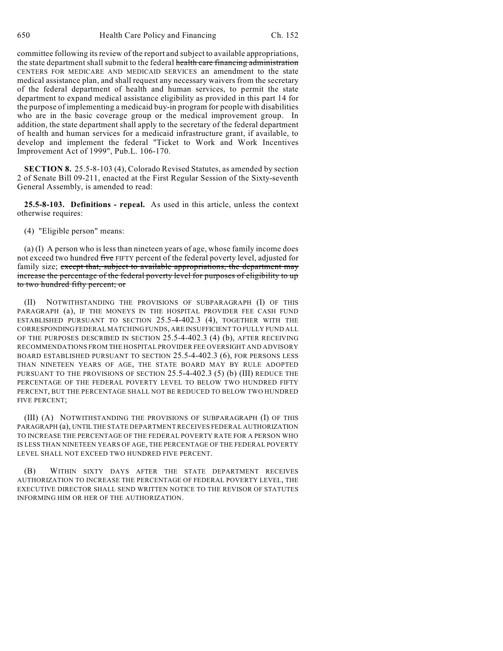committee following its review of the report and subject to available appropriations, the state department shall submit to the federal health care financing administration CENTERS FOR MEDICARE AND MEDICAID SERVICES an amendment to the state medical assistance plan, and shall request any necessary waivers from the secretary of the federal department of health and human services, to permit the state department to expand medical assistance eligibility as provided in this part 14 for the purpose of implementing a medicaid buy-in program for people with disabilities who are in the basic coverage group or the medical improvement group. In addition, the state department shall apply to the secretary of the federal department of health and human services for a medicaid infrastructure grant, if available, to develop and implement the federal "Ticket to Work and Work Incentives Improvement Act of 1999", Pub.L. 106-170.

**SECTION 8.** 25.5-8-103 (4), Colorado Revised Statutes, as amended by section 2 of Senate Bill 09-211, enacted at the First Regular Session of the Sixty-seventh General Assembly, is amended to read:

**25.5-8-103. Definitions - repeal.** As used in this article, unless the context otherwise requires:

(4) "Eligible person" means:

(a) (I) A person who is less than nineteen years of age, whose family income does not exceed two hundred five FIFTY percent of the federal poverty level, adjusted for family size; except that, subject to available appropriations, the department may increase the percentage of the federal poverty level for purposes of eligibility to up to two hundred fifty percent; or

(II) NOTWITHSTANDING THE PROVISIONS OF SUBPARAGRAPH (I) OF THIS PARAGRAPH (a), IF THE MONEYS IN THE HOSPITAL PROVIDER FEE CASH FUND ESTABLISHED PURSUANT TO SECTION 25.5-4-402.3 (4), TOGETHER WITH THE CORRESPONDING FEDERAL MATCHING FUNDS, ARE INSUFFICIENT TO FULLY FUND ALL OF THE PURPOSES DESCRIBED IN SECTION 25.5-4-402.3 (4) (b), AFTER RECEIVING RECOMMENDATIONS FROM THE HOSPITAL PROVIDER FEE OVERSIGHT AND ADVISORY BOARD ESTABLISHED PURSUANT TO SECTION 25.5-4-402.3 (6), FOR PERSONS LESS THAN NINETEEN YEARS OF AGE, THE STATE BOARD MAY BY RULE ADOPTED PURSUANT TO THE PROVISIONS OF SECTION 25.5-4-402.3 (5) (b) (III) REDUCE THE PERCENTAGE OF THE FEDERAL POVERTY LEVEL TO BELOW TWO HUNDRED FIFTY PERCENT, BUT THE PERCENTAGE SHALL NOT BE REDUCED TO BELOW TWO HUNDRED FIVE PERCENT;

(III) (A) NOTWITHSTANDING THE PROVISIONS OF SUBPARAGRAPH (I) OF THIS PARAGRAPH (a), UNTIL THE STATE DEPARTMENT RECEIVES FEDERAL AUTHORIZATION TO INCREASE THE PERCENTAGE OF THE FEDERAL POVERTY RATE FOR A PERSON WHO IS LESS THAN NINETEEN YEARS OF AGE, THE PERCENTAGE OF THE FEDERAL POVERTY LEVEL SHALL NOT EXCEED TWO HUNDRED FIVE PERCENT.

(B) WITHIN SIXTY DAYS AFTER THE STATE DEPARTMENT RECEIVES AUTHORIZATION TO INCREASE THE PERCENTAGE OF FEDERAL POVERTY LEVEL, THE EXECUTIVE DIRECTOR SHALL SEND WRITTEN NOTICE TO THE REVISOR OF STATUTES INFORMING HIM OR HER OF THE AUTHORIZATION.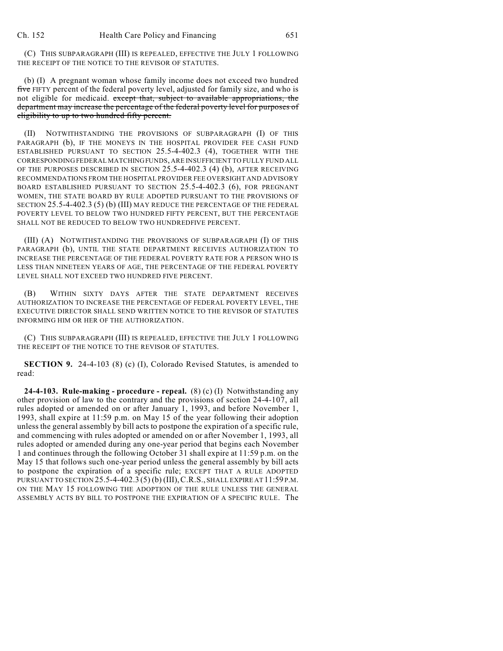(C) THIS SUBPARAGRAPH (III) IS REPEALED, EFFECTIVE THE JULY 1 FOLLOWING THE RECEIPT OF THE NOTICE TO THE REVISOR OF STATUTES.

(b) (I) A pregnant woman whose family income does not exceed two hundred five FIFTY percent of the federal poverty level, adjusted for family size, and who is not eligible for medicaid. except that, subject to available appropriations, the department may increase the percentage of the federal poverty level for purposes of eligibility to up to two hundred fifty percent.

(II) NOTWITHSTANDING THE PROVISIONS OF SUBPARAGRAPH (I) OF THIS PARAGRAPH (b), IF THE MONEYS IN THE HOSPITAL PROVIDER FEE CASH FUND ESTABLISHED PURSUANT TO SECTION 25.5-4-402.3 (4), TOGETHER WITH THE CORRESPONDING FEDERAL MATCHING FUNDS, ARE INSUFFICIENT TO FULLY FUND ALL OF THE PURPOSES DESCRIBED IN SECTION 25.5-4-402.3 (4) (b), AFTER RECEIVING RECOMMENDATIONS FROM THE HOSPITAL PROVIDER FEE OVERSIGHT AND ADVISORY BOARD ESTABLISHED PURSUANT TO SECTION 25.5-4-402.3 (6), FOR PREGNANT WOMEN, THE STATE BOARD BY RULE ADOPTED PURSUANT TO THE PROVISIONS OF SECTION 25.5-4-402.3 (5) (b) (III) MAY REDUCE THE PERCENTAGE OF THE FEDERAL POVERTY LEVEL TO BELOW TWO HUNDRED FIFTY PERCENT, BUT THE PERCENTAGE SHALL NOT BE REDUCED TO BELOW TWO HUNDREDFIVE PERCENT.

(III) (A) NOTWITHSTANDING THE PROVISIONS OF SUBPARAGRAPH (I) OF THIS PARAGRAPH (b), UNTIL THE STATE DEPARTMENT RECEIVES AUTHORIZATION TO INCREASE THE PERCENTAGE OF THE FEDERAL POVERTY RATE FOR A PERSON WHO IS LESS THAN NINETEEN YEARS OF AGE, THE PERCENTAGE OF THE FEDERAL POVERTY LEVEL SHALL NOT EXCEED TWO HUNDRED FIVE PERCENT.

(B) WITHIN SIXTY DAYS AFTER THE STATE DEPARTMENT RECEIVES AUTHORIZATION TO INCREASE THE PERCENTAGE OF FEDERAL POVERTY LEVEL, THE EXECUTIVE DIRECTOR SHALL SEND WRITTEN NOTICE TO THE REVISOR OF STATUTES INFORMING HIM OR HER OF THE AUTHORIZATION.

(C) THIS SUBPARAGRAPH (III) IS REPEALED, EFFECTIVE THE JULY 1 FOLLOWING THE RECEIPT OF THE NOTICE TO THE REVISOR OF STATUTES.

**SECTION 9.** 24-4-103 (8) (c) (I), Colorado Revised Statutes, is amended to read:

**24-4-103. Rule-making - procedure - repeal.** (8) (c) (I) Notwithstanding any other provision of law to the contrary and the provisions of section 24-4-107, all rules adopted or amended on or after January 1, 1993, and before November 1, 1993, shall expire at 11:59 p.m. on May 15 of the year following their adoption unless the general assembly by bill acts to postpone the expiration of a specific rule, and commencing with rules adopted or amended on or after November 1, 1993, all rules adopted or amended during any one-year period that begins each November 1 and continues through the following October 31 shall expire at 11:59 p.m. on the May 15 that follows such one-year period unless the general assembly by bill acts to postpone the expiration of a specific rule; EXCEPT THAT A RULE ADOPTED PURSUANT TO SECTION 25.5-4-402.3 (5) (b) (III),C.R.S., SHALL EXPIRE AT 11:59 P.M. ON THE MAY 15 FOLLOWING THE ADOPTION OF THE RULE UNLESS THE GENERAL ASSEMBLY ACTS BY BILL TO POSTPONE THE EXPIRATION OF A SPECIFIC RULE. The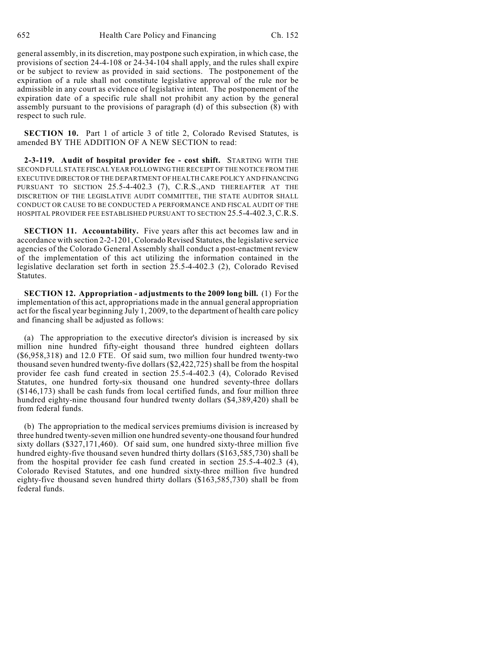general assembly, in its discretion, may postpone such expiration, in which case, the provisions of section 24-4-108 or 24-34-104 shall apply, and the rules shall expire or be subject to review as provided in said sections. The postponement of the expiration of a rule shall not constitute legislative approval of the rule nor be admissible in any court as evidence of legislative intent. The postponement of the expiration date of a specific rule shall not prohibit any action by the general assembly pursuant to the provisions of paragraph (d) of this subsection (8) with respect to such rule.

**SECTION 10.** Part 1 of article 3 of title 2, Colorado Revised Statutes, is amended BY THE ADDITION OF A NEW SECTION to read:

**2-3-119. Audit of hospital provider fee - cost shift.** STARTING WITH THE SECOND FULL STATE FISCAL YEAR FOLLOWING THE RECEIPT OF THE NOTICE FROM THE EXECUTIVE DIRECTOR OF THE DEPARTMENT OF HEALTH CARE POLICY AND FINANCING PURSUANT TO SECTION 25.5-4-402.3 (7), C.R.S.,AND THEREAFTER AT THE DISCRETION OF THE LEGISLATIVE AUDIT COMMITTEE, THE STATE AUDITOR SHALL CONDUCT OR CAUSE TO BE CONDUCTED A PERFORMANCE AND FISCAL AUDIT OF THE HOSPITAL PROVIDER FEE ESTABLISHED PURSUANT TO SECTION 25.5-4-402.3, C.R.S.

**SECTION 11. Accountability.** Five years after this act becomes law and in accordance with section 2-2-1201, Colorado Revised Statutes, the legislative service agencies of the Colorado General Assembly shall conduct a post-enactment review of the implementation of this act utilizing the information contained in the legislative declaration set forth in section 25.5-4-402.3 (2), Colorado Revised Statutes.

**SECTION 12. Appropriation - adjustments to the 2009 long bill.** (1) For the implementation of this act, appropriations made in the annual general appropriation act for the fiscal year beginning July 1, 2009, to the department of health care policy and financing shall be adjusted as follows:

(a) The appropriation to the executive director's division is increased by six million nine hundred fifty-eight thousand three hundred eighteen dollars (\$6,958,318) and 12.0 FTE. Of said sum, two million four hundred twenty-two thousand seven hundred twenty-five dollars (\$2,422,725) shall be from the hospital provider fee cash fund created in section 25.5-4-402.3 (4), Colorado Revised Statutes, one hundred forty-six thousand one hundred seventy-three dollars (\$146,173) shall be cash funds from local certified funds, and four million three hundred eighty-nine thousand four hundred twenty dollars (\$4,389,420) shall be from federal funds.

(b) The appropriation to the medical services premiums division is increased by three hundred twenty-seven million one hundred seventy-one thousand four hundred sixty dollars (\$327,171,460). Of said sum, one hundred sixty-three million five hundred eighty-five thousand seven hundred thirty dollars (\$163,585,730) shall be from the hospital provider fee cash fund created in section 25.5-4-402.3 (4), Colorado Revised Statutes, and one hundred sixty-three million five hundred eighty-five thousand seven hundred thirty dollars (\$163,585,730) shall be from federal funds.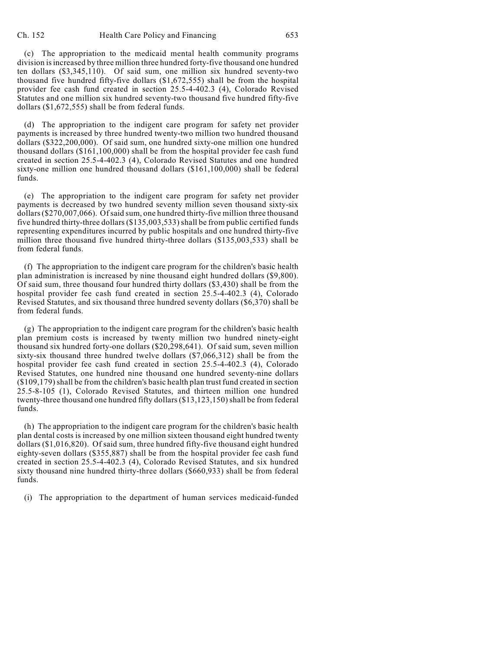(c) The appropriation to the medicaid mental health community programs division is increased by three million three hundred forty-five thousand one hundred ten dollars (\$3,345,110). Of said sum, one million six hundred seventy-two thousand five hundred fifty-five dollars (\$1,672,555) shall be from the hospital provider fee cash fund created in section 25.5-4-402.3 (4), Colorado Revised Statutes and one million six hundred seventy-two thousand five hundred fifty-five dollars (\$1,672,555) shall be from federal funds.

(d) The appropriation to the indigent care program for safety net provider payments is increased by three hundred twenty-two million two hundred thousand dollars (\$322,200,000). Of said sum, one hundred sixty-one million one hundred thousand dollars (\$161,100,000) shall be from the hospital provider fee cash fund created in section 25.5-4-402.3 (4), Colorado Revised Statutes and one hundred sixty-one million one hundred thousand dollars (\$161,100,000) shall be federal funds.

(e) The appropriation to the indigent care program for safety net provider payments is decreased by two hundred seventy million seven thousand sixty-six dollars (\$270,007,066). Ofsaid sum, one hundred thirty-five million three thousand five hundred thirty-three dollars (\$135,003,533) shall be from public certified funds representing expenditures incurred by public hospitals and one hundred thirty-five million three thousand five hundred thirty-three dollars (\$135,003,533) shall be from federal funds.

(f) The appropriation to the indigent care program for the children's basic health plan administration is increased by nine thousand eight hundred dollars (\$9,800). Of said sum, three thousand four hundred thirty dollars (\$3,430) shall be from the hospital provider fee cash fund created in section 25.5-4-402.3 (4), Colorado Revised Statutes, and six thousand three hundred seventy dollars (\$6,370) shall be from federal funds.

(g) The appropriation to the indigent care program for the children's basic health plan premium costs is increased by twenty million two hundred ninety-eight thousand six hundred forty-one dollars (\$20,298,641). Of said sum, seven million sixty-six thousand three hundred twelve dollars (\$7,066,312) shall be from the hospital provider fee cash fund created in section 25.5-4-402.3 (4), Colorado Revised Statutes, one hundred nine thousand one hundred seventy-nine dollars (\$109,179) shall be from the children's basic health plan trust fund created in section 25.5-8-105 (1), Colorado Revised Statutes, and thirteen million one hundred twenty-three thousand one hundred fifty dollars (\$13,123,150) shall be from federal funds.

(h) The appropriation to the indigent care program for the children's basic health plan dental costs is increased by one million sixteen thousand eight hundred twenty dollars (\$1,016,820). Of said sum, three hundred fifty-five thousand eight hundred eighty-seven dollars (\$355,887) shall be from the hospital provider fee cash fund created in section 25.5-4-402.3 (4), Colorado Revised Statutes, and six hundred sixty thousand nine hundred thirty-three dollars (\$660,933) shall be from federal funds.

(i) The appropriation to the department of human services medicaid-funded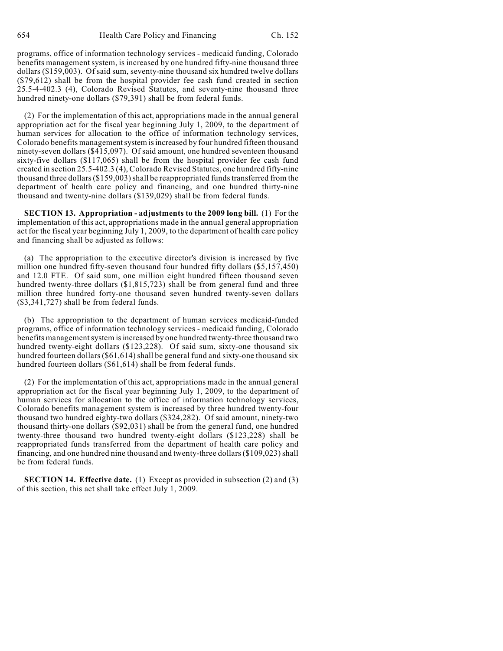programs, office of information technology services - medicaid funding, Colorado benefits management system, is increased by one hundred fifty-nine thousand three dollars (\$159,003). Of said sum, seventy-nine thousand six hundred twelve dollars (\$79,612) shall be from the hospital provider fee cash fund created in section 25.5-4-402.3 (4), Colorado Revised Statutes, and seventy-nine thousand three hundred ninety-one dollars (\$79,391) shall be from federal funds.

(2) For the implementation of this act, appropriations made in the annual general appropriation act for the fiscal year beginning July 1, 2009, to the department of human services for allocation to the office of information technology services, Colorado benefits management system is increased by four hundred fifteen thousand ninety-seven dollars (\$415,097). Of said amount, one hundred seventeen thousand sixty-five dollars (\$117,065) shall be from the hospital provider fee cash fund created in section 25.5-402.3 (4), Colorado Revised Statutes, one hundred fifty-nine thousand three dollars (\$159,003) shall be reappropriated funds transferred from the department of health care policy and financing, and one hundred thirty-nine thousand and twenty-nine dollars (\$139,029) shall be from federal funds.

**SECTION 13. Appropriation - adjustments to the 2009 long bill.** (1) For the implementation of this act, appropriations made in the annual general appropriation act for the fiscal year beginning July 1, 2009, to the department of health care policy and financing shall be adjusted as follows:

(a) The appropriation to the executive director's division is increased by five million one hundred fifty-seven thousand four hundred fifty dollars (\$5,157,450) and 12.0 FTE. Of said sum, one million eight hundred fifteen thousand seven hundred twenty-three dollars (\$1,815,723) shall be from general fund and three million three hundred forty-one thousand seven hundred twenty-seven dollars (\$3,341,727) shall be from federal funds.

(b) The appropriation to the department of human services medicaid-funded programs, office of information technology services - medicaid funding, Colorado benefits management system is increased by one hundred twenty-three thousand two hundred twenty-eight dollars (\$123,228). Of said sum, sixty-one thousand six hundred fourteen dollars (\$61,614) shall be general fund and sixty-one thousand six hundred fourteen dollars (\$61,614) shall be from federal funds.

(2) For the implementation of this act, appropriations made in the annual general appropriation act for the fiscal year beginning July 1, 2009, to the department of human services for allocation to the office of information technology services, Colorado benefits management system is increased by three hundred twenty-four thousand two hundred eighty-two dollars (\$324,282). Of said amount, ninety-two thousand thirty-one dollars (\$92,031) shall be from the general fund, one hundred twenty-three thousand two hundred twenty-eight dollars (\$123,228) shall be reappropriated funds transferred from the department of health care policy and financing, and one hundred nine thousand and twenty-three dollars(\$109,023) shall be from federal funds.

**SECTION 14. Effective date.** (1) Except as provided in subsection (2) and (3) of this section, this act shall take effect July 1, 2009.